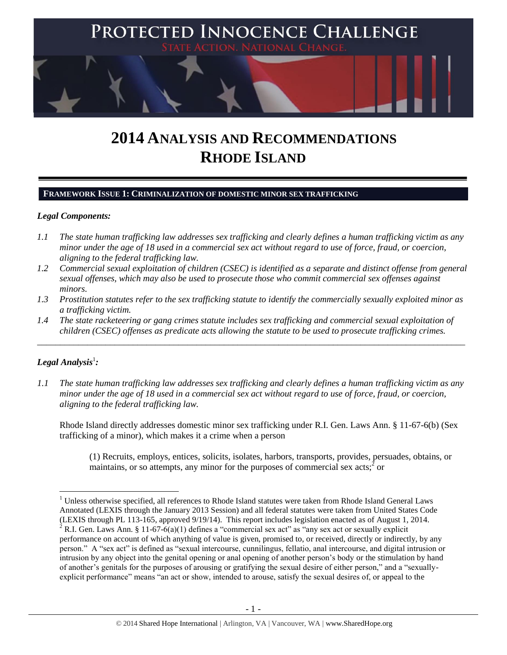

# **2014 ANALYSIS AND RECOMMENDATIONS RHODE ISLAND**

#### **FRAMEWORK ISSUE 1: CRIMINALIZATION OF DOMESTIC MINOR SEX TRAFFICKING**

## *Legal Components:*

- *1.1 The state human trafficking law addresses sex trafficking and clearly defines a human trafficking victim as any minor under the age of 18 used in a commercial sex act without regard to use of force, fraud, or coercion, aligning to the federal trafficking law.*
- *1.2 Commercial sexual exploitation of children (CSEC) is identified as a separate and distinct offense from general sexual offenses, which may also be used to prosecute those who commit commercial sex offenses against minors.*
- *1.3 Prostitution statutes refer to the sex trafficking statute to identify the commercially sexually exploited minor as a trafficking victim.*
- *1.4 The state racketeering or gang crimes statute includes sex trafficking and commercial sexual exploitation of children (CSEC) offenses as predicate acts allowing the statute to be used to prosecute trafficking crimes.*

\_\_\_\_\_\_\_\_\_\_\_\_\_\_\_\_\_\_\_\_\_\_\_\_\_\_\_\_\_\_\_\_\_\_\_\_\_\_\_\_\_\_\_\_\_\_\_\_\_\_\_\_\_\_\_\_\_\_\_\_\_\_\_\_\_\_\_\_\_\_\_\_\_\_\_\_\_\_\_\_\_\_\_\_\_\_\_\_\_\_\_\_\_\_

# $\bm{L}$ egal Analysis $^1$ :

 $\overline{\phantom{a}}$ 

*1.1 The state human trafficking law addresses sex trafficking and clearly defines a human trafficking victim as any minor under the age of 18 used in a commercial sex act without regard to use of force, fraud, or coercion, aligning to the federal trafficking law.*

Rhode Island directly addresses domestic minor sex trafficking under R.I. Gen. Laws Ann. § 11-67-6(b) (Sex trafficking of a minor), which makes it a crime when a person

(1) Recruits, employs, entices, solicits, isolates, harbors, transports, provides, persuades, obtains, or maintains, or so attempts, any minor for the purposes of commercial sex acts; $\frac{3}{5}$  or

 $1$  Unless otherwise specified, all references to Rhode Island statutes were taken from Rhode Island General Laws Annotated (LEXIS through the January 2013 Session) and all federal statutes were taken from United States Code (LEXIS through PL 113-165, approved 9/19/14). This report includes legislation enacted as of August 1, 2014.

<sup>&</sup>lt;sup>2</sup> R.I. Gen. Laws Ann. § 11-67-6(a)(1) defines a "commercial sex act" as "any sex act or sexually explicit performance on account of which anything of value is given, promised to, or received, directly or indirectly, by any person." A "sex act" is defined as "sexual intercourse, cunnilingus, fellatio, anal intercourse, and digital intrusion or intrusion by any object into the genital opening or anal opening of another person's body or the stimulation by hand of another's genitals for the purposes of arousing or gratifying the sexual desire of either person," and a "sexuallyexplicit performance" means "an act or show, intended to arouse, satisfy the sexual desires of, or appeal to the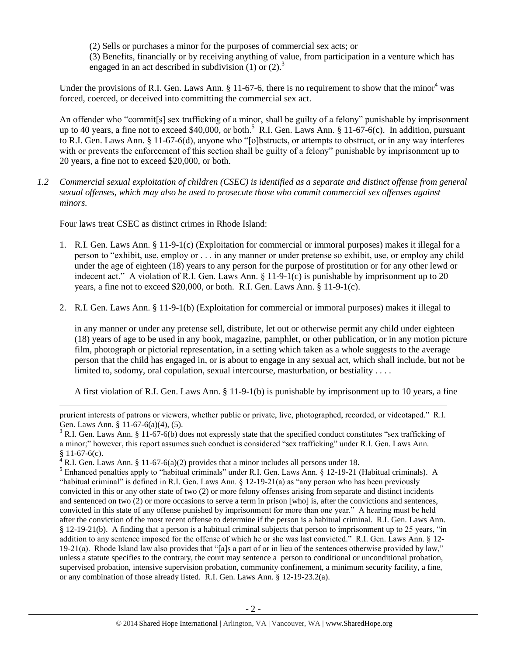(2) Sells or purchases a minor for the purposes of commercial sex acts; or (3) Benefits, financially or by receiving anything of value, from participation in a venture which has engaged in an act described in subdivision (1) or (2).<sup>3</sup>

Under the provisions of R.I. Gen. Laws Ann. § 11-67-6, there is no requirement to show that the minor<sup>4</sup> was forced, coerced, or deceived into committing the commercial sex act.

An offender who "commit[s] sex trafficking of a minor, shall be guilty of a felony" punishable by imprisonment up to 40 years, a fine not to exceed \$40,000, or both.<sup>5</sup> R.I. Gen. Laws Ann. § 11-67-6(c). In addition, pursuant to R.I. Gen. Laws Ann. § 11-67-6(d), anyone who "[o]bstructs, or attempts to obstruct, or in any way interferes with or prevents the enforcement of this section shall be guilty of a felony" punishable by imprisonment up to 20 years, a fine not to exceed \$20,000, or both.

*1.2 Commercial sexual exploitation of children (CSEC) is identified as a separate and distinct offense from general sexual offenses, which may also be used to prosecute those who commit commercial sex offenses against minors.*

Four laws treat CSEC as distinct crimes in Rhode Island:

l

- 1. R.I. Gen. Laws Ann. § 11-9-1(c) (Exploitation for commercial or immoral purposes) makes it illegal for a person to "exhibit, use, employ or . . . in any manner or under pretense so exhibit, use, or employ any child under the age of eighteen (18) years to any person for the purpose of prostitution or for any other lewd or indecent act." A violation of R.I. Gen. Laws Ann. § 11-9-1(c) is punishable by imprisonment up to 20 years, a fine not to exceed \$20,000, or both. R.I. Gen. Laws Ann. § 11-9-1(c).
- 2. R.I. Gen. Laws Ann. § 11-9-1(b) (Exploitation for commercial or immoral purposes) makes it illegal to

in any manner or under any pretense sell, distribute, let out or otherwise permit any child under eighteen (18) years of age to be used in any book, magazine, pamphlet, or other publication, or in any motion picture film, photograph or pictorial representation, in a setting which taken as a whole suggests to the average person that the child has engaged in, or is about to engage in any sexual act, which shall include, but not be limited to, sodomy, oral copulation, sexual intercourse, masturbation, or bestiality . . . .

A first violation of R.I. Gen. Laws Ann. § 11-9-1(b) is punishable by imprisonment up to 10 years, a fine

prurient interests of patrons or viewers, whether public or private, live, photographed, recorded, or videotaped." R.I. Gen. Laws Ann. § 11-67-6(a)(4), (5).

 $3$  R.I. Gen. Laws Ann. § 11-67-6(b) does not expressly state that the specified conduct constitutes "sex trafficking of a minor;" however, this report assumes such conduct is considered "sex trafficking" under R.I. Gen. Laws Ann. § 11-67-6(c).

 $4 R.I.$  Gen. Laws Ann. § 11-67-6(a)(2) provides that a minor includes all persons under 18.

<sup>&</sup>lt;sup>5</sup> Enhanced penalties apply to "habitual criminals" under R.I. Gen. Laws Ann. § 12-19-21 (Habitual criminals). A "habitual criminal" is defined in R.I. Gen. Laws Ann. § 12-19-21(a) as "any person who has been previously convicted in this or any other state of two (2) or more felony offenses arising from separate and distinct incidents and sentenced on two (2) or more occasions to serve a term in prison [who] is, after the convictions and sentences, convicted in this state of any offense punished by imprisonment for more than one year." A hearing must be held after the conviction of the most recent offense to determine if the person is a habitual criminal. R.I. Gen. Laws Ann. § 12-19-21(b). A finding that a person is a habitual criminal subjects that person to imprisonment up to 25 years, "in addition to any sentence imposed for the offense of which he or she was last convicted." R.I. Gen. Laws Ann. § 12- 19-21(a). Rhode Island law also provides that "[a]s a part of or in lieu of the sentences otherwise provided by law," unless a statute specifies to the contrary, the court may sentence a person to conditional or unconditional probation, supervised probation, intensive supervision probation, community confinement, a minimum security facility, a fine, or any combination of those already listed. R.I. Gen. Laws Ann. § 12-19-23.2(a).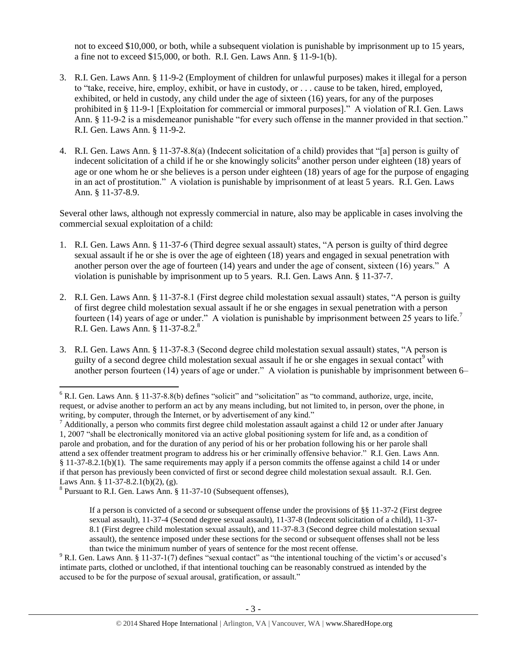not to exceed \$10,000, or both, while a subsequent violation is punishable by imprisonment up to 15 years, a fine not to exceed \$15,000, or both. R.I. Gen. Laws Ann. § 11-9-1(b).

- 3. R.I. Gen. Laws Ann. § 11-9-2 (Employment of children for unlawful purposes) makes it illegal for a person to "take, receive, hire, employ, exhibit, or have in custody, or . . . cause to be taken, hired, employed, exhibited, or held in custody, any child under the age of sixteen (16) years, for any of the purposes prohibited in § 11-9-1 [Exploitation for commercial or immoral purposes]." A violation of R.I. Gen. Laws Ann. § 11-9-2 is a misdemeanor punishable "for every such offense in the manner provided in that section." R.I. Gen. Laws Ann. § 11-9-2.
- <span id="page-2-1"></span>4. R.I. Gen. Laws Ann. § 11-37-8.8(a) (Indecent solicitation of a child) provides that "[a] person is guilty of indecent solicitation of a child if he or she knowingly solicits<sup>6</sup> another person under eighteen (18) years of age or one whom he or she believes is a person under eighteen (18) years of age for the purpose of engaging in an act of prostitution." A violation is punishable by imprisonment of at least 5 years. R.I. Gen. Laws Ann. § 11-37-8.9.

Several other laws, although not expressly commercial in nature, also may be applicable in cases involving the commercial sexual exploitation of a child:

- 1. R.I. Gen. Laws Ann. § 11-37-6 (Third degree sexual assault) states, "A person is guilty of third degree sexual assault if he or she is over the age of eighteen (18) years and engaged in sexual penetration with another person over the age of fourteen (14) years and under the age of consent, sixteen (16) years." A violation is punishable by imprisonment up to 5 years. R.I. Gen. Laws Ann. § 11-37-7.
- 2. R.I. Gen. Laws Ann. § 11-37-8.1 (First degree child molestation sexual assault) states, "A person is guilty of first degree child molestation sexual assault if he or she engages in sexual penetration with a person fourteen (14) years of age or under." A violation is punishable by imprisonment between 25 years to life.<sup>7</sup> R.I. Gen. Laws Ann. § 11-37-8.2.<sup>8</sup>
- <span id="page-2-0"></span>3. R.I. Gen. Laws Ann. § 11-37-8.3 (Second degree child molestation sexual assault) states, "A person is guilty of a second degree child molestation sexual assault if he or she engages in sexual contact<sup>9</sup> with another person fourteen (14) years of age or under." A violation is punishable by imprisonment between 6–

l

 $6$  R.I. Gen. Laws Ann. § 11-37-8.8(b) defines "solicit" and "solicitation" as "to command, authorize, urge, incite, request, or advise another to perform an act by any means including, but not limited to, in person, over the phone, in writing, by computer, through the Internet, or by advertisement of any kind."

 $<sup>7</sup>$  Additionally, a person who commits first degree child molestation assault against a child 12 or under after January</sup> 1, 2007 "shall be electronically monitored via an active global positioning system for life and, as a condition of parole and probation, and for the duration of any period of his or her probation following his or her parole shall attend a sex offender treatment program to address his or her criminally offensive behavior." R.I. Gen. Laws Ann. § 11-37-8.2.1(b)(1). The same requirements may apply if a person commits the offense against a child 14 or under if that person has previously been convicted of first or second degree child molestation sexual assault. R.I. Gen. Laws Ann. § 11-37-8.2.1(b)(2), (g).

<sup>&</sup>lt;sup>8</sup> Pursuant to R.I. Gen. Laws Ann. § 11-37-10 (Subsequent offenses),

If a person is convicted of a second or subsequent offense under the provisions of §§ 11-37-2 (First degree sexual assault), 11-37-4 (Second degree sexual assault), 11-37-8 (Indecent solicitation of a child), 11-37- 8.1 (First degree child molestation sexual assault), and 11-37-8.3 (Second degree child molestation sexual assault), the sentence imposed under these sections for the second or subsequent offenses shall not be less than twice the minimum number of years of sentence for the most recent offense.

 $9$  R.I. Gen. Laws Ann. § 11-37-1(7) defines "sexual contact" as "the intentional touching of the victim's or accused's intimate parts, clothed or unclothed, if that intentional touching can be reasonably construed as intended by the accused to be for the purpose of sexual arousal, gratification, or assault."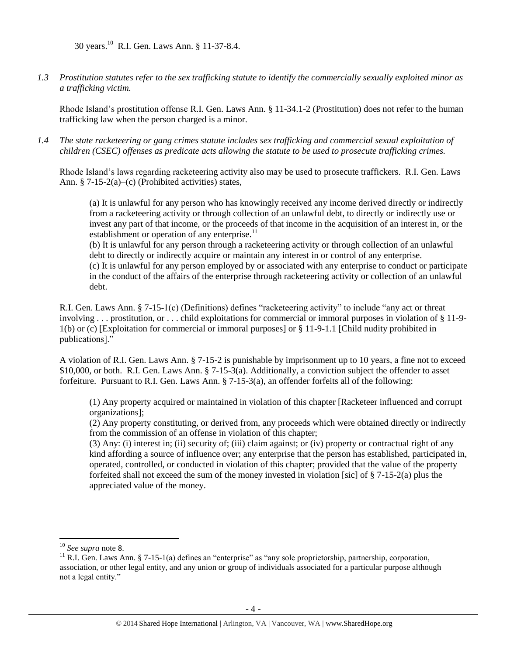30 years.<sup>10</sup> R.I. Gen. Laws Ann. § 11-37-8.4.

*1.3 Prostitution statutes refer to the sex trafficking statute to identify the commercially sexually exploited minor as a trafficking victim.* 

Rhode Island's prostitution offense R.I. Gen. Laws Ann. § 11-34.1-2 (Prostitution) does not refer to the human trafficking law when the person charged is a minor.

*1.4 The state racketeering or gang crimes statute includes sex trafficking and commercial sexual exploitation of children (CSEC) offenses as predicate acts allowing the statute to be used to prosecute trafficking crimes.* 

Rhode Island's laws regarding racketeering activity also may be used to prosecute traffickers. R.I. Gen. Laws Ann. § 7-15-2(a)–(c) (Prohibited activities) states,

(a) It is unlawful for any person who has knowingly received any income derived directly or indirectly from a racketeering activity or through collection of an unlawful debt, to directly or indirectly use or invest any part of that income, or the proceeds of that income in the acquisition of an interest in, or the establishment or operation of any enterprise. $^{11}$ 

(b) It is unlawful for any person through a racketeering activity or through collection of an unlawful debt to directly or indirectly acquire or maintain any interest in or control of any enterprise. (c) It is unlawful for any person employed by or associated with any enterprise to conduct or participate

in the conduct of the affairs of the enterprise through racketeering activity or collection of an unlawful debt.

R.I. Gen. Laws Ann. § 7-15-1(c) (Definitions) defines "racketeering activity" to include "any act or threat involving . . . prostitution, or . . . child exploitations for commercial or immoral purposes in violation of § 11-9- 1(b) or (c) [Exploitation for commercial or immoral purposes] or § 11-9-1.1 [Child nudity prohibited in publications]."

A violation of R.I. Gen. Laws Ann. § 7-15-2 is punishable by imprisonment up to 10 years, a fine not to exceed \$10,000, or both. R.I. Gen. Laws Ann. § 7-15-3(a). Additionally, a conviction subject the offender to asset forfeiture. Pursuant to R.I. Gen. Laws Ann. § 7-15-3(a), an offender forfeits all of the following:

(1) Any property acquired or maintained in violation of this chapter [Racketeer influenced and corrupt organizations];

(2) Any property constituting, or derived from, any proceeds which were obtained directly or indirectly from the commission of an offense in violation of this chapter;

(3) Any: (i) interest in; (ii) security of; (iii) claim against; or (iv) property or contractual right of any kind affording a source of influence over; any enterprise that the person has established, participated in, operated, controlled, or conducted in violation of this chapter; provided that the value of the property forfeited shall not exceed the sum of the money invested in violation [sic] of  $\S 7-15-2(a)$  plus the appreciated value of the money.

 $\overline{a}$ 

<sup>10</sup> *See supra* note [8](#page-2-0).

<sup>&</sup>lt;sup>11</sup> R.I. Gen. Laws Ann. § 7-15-1(a) defines an "enterprise" as "any sole proprietorship, partnership, corporation, association, or other legal entity, and any union or group of individuals associated for a particular purpose although not a legal entity."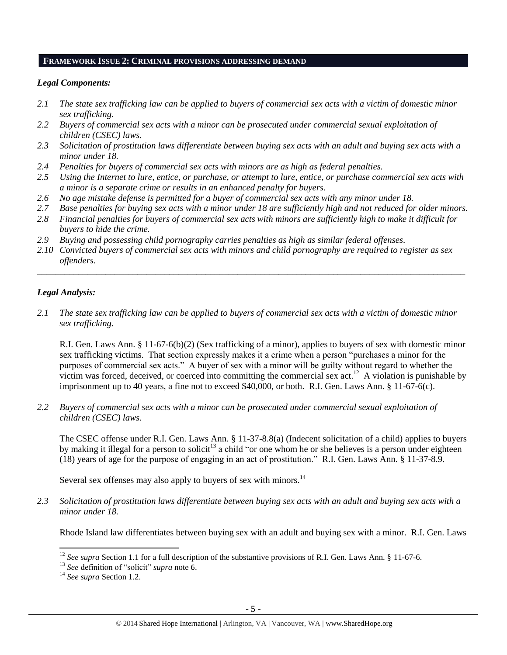#### **FRAMEWORK ISSUE 2: CRIMINAL PROVISIONS ADDRESSING DEMAND**

#### *Legal Components:*

- *2.1 The state sex trafficking law can be applied to buyers of commercial sex acts with a victim of domestic minor sex trafficking.*
- *2.2 Buyers of commercial sex acts with a minor can be prosecuted under commercial sexual exploitation of children (CSEC) laws.*
- *2.3 Solicitation of prostitution laws differentiate between buying sex acts with an adult and buying sex acts with a minor under 18.*
- *2.4 Penalties for buyers of commercial sex acts with minors are as high as federal penalties.*
- *2.5 Using the Internet to lure, entice, or purchase, or attempt to lure, entice, or purchase commercial sex acts with a minor is a separate crime or results in an enhanced penalty for buyers.*
- *2.6 No age mistake defense is permitted for a buyer of commercial sex acts with any minor under 18.*
- *2.7 Base penalties for buying sex acts with a minor under 18 are sufficiently high and not reduced for older minors.*
- *2.8 Financial penalties for buyers of commercial sex acts with minors are sufficiently high to make it difficult for buyers to hide the crime.*
- *2.9 Buying and possessing child pornography carries penalties as high as similar federal offenses.*
- *2.10 Convicted buyers of commercial sex acts with minors and child pornography are required to register as sex offenders*.

\_\_\_\_\_\_\_\_\_\_\_\_\_\_\_\_\_\_\_\_\_\_\_\_\_\_\_\_\_\_\_\_\_\_\_\_\_\_\_\_\_\_\_\_\_\_\_\_\_\_\_\_\_\_\_\_\_\_\_\_\_\_\_\_\_\_\_\_\_\_\_\_\_\_\_\_\_\_\_\_\_\_\_\_\_\_\_\_\_\_\_\_\_\_

#### *Legal Analysis:*

*2.1 The state sex trafficking law can be applied to buyers of commercial sex acts with a victim of domestic minor sex trafficking.*

R.I. Gen. Laws Ann. § 11-67-6(b)(2) (Sex trafficking of a minor), applies to buyers of sex with domestic minor sex trafficking victims. That section expressly makes it a crime when a person "purchases a minor for the purposes of commercial sex acts." A buyer of sex with a minor will be guilty without regard to whether the victim was forced, deceived, or coerced into committing the commercial sex  $act.<sup>12</sup>$  A violation is punishable by imprisonment up to 40 years, a fine not to exceed \$40,000, or both. R.I. Gen. Laws Ann. § 11-67-6(c).

*2.2 Buyers of commercial sex acts with a minor can be prosecuted under commercial sexual exploitation of children (CSEC) laws.*

The CSEC offense under R.I. Gen. Laws Ann. § 11-37-8.8(a) (Indecent solicitation of a child) applies to buyers by making it illegal for a person to solicit<sup>13</sup> a child "or one whom he or she believes is a person under eighteen (18) years of age for the purpose of engaging in an act of prostitution." R.I. Gen. Laws Ann. § 11-37-8.9.

Several sex offenses may also apply to buyers of sex with minors.<sup>14</sup>

*2.3 Solicitation of prostitution laws differentiate between buying sex acts with an adult and buying sex acts with a minor under 18.*

Rhode Island law differentiates between buying sex with an adult and buying sex with a minor. R.I. Gen. Laws

 $\overline{\phantom{a}}$ 

<sup>&</sup>lt;sup>12</sup> *See supra* Section 1.1 for a full description of the substantive provisions of R.I. Gen. Laws Ann. § 11-67-6.

<sup>13</sup> *See* definition of "solicit" *supra* note [6](#page-2-1).

<sup>14</sup> *See supra* Section 1.2.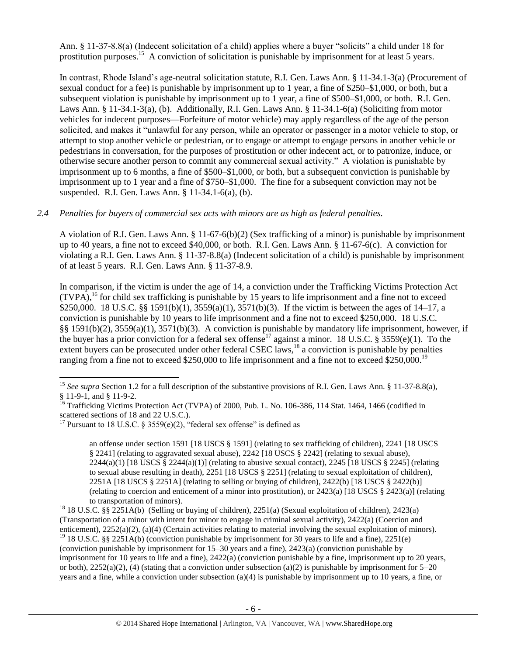Ann. § 11-37-8.8(a) (Indecent solicitation of a child) applies where a buyer "solicits" a child under 18 for prostitution purposes.<sup>15</sup> A conviction of solicitation is punishable by imprisonment for at least 5 years.

In contrast, Rhode Island's age-neutral solicitation statute, R.I. Gen. Laws Ann. § 11-34.1-3(a) (Procurement of sexual conduct for a fee) is punishable by imprisonment up to 1 year, a fine of \$250–\$1,000, or both, but a subsequent violation is punishable by imprisonment up to 1 year, a fine of \$500–\$1,000, or both. R.I. Gen. Laws Ann. § 11-34.1-3(a), (b). Additionally, R.I. Gen. Laws Ann. § 11-34.1-6(a) (Soliciting from motor vehicles for indecent purposes—Forfeiture of motor vehicle) may apply regardless of the age of the person solicited, and makes it "unlawful for any person, while an operator or passenger in a motor vehicle to stop, or attempt to stop another vehicle or pedestrian, or to engage or attempt to engage persons in another vehicle or pedestrians in conversation, for the purposes of prostitution or other indecent act, or to patronize, induce, or otherwise secure another person to commit any commercial sexual activity." A violation is punishable by imprisonment up to 6 months, a fine of \$500–\$1,000, or both, but a subsequent conviction is punishable by imprisonment up to 1 year and a fine of \$750–\$1,000. The fine for a subsequent conviction may not be suspended. R.I. Gen. Laws Ann. § 11-34.1-6(a), (b).

## *2.4 Penalties for buyers of commercial sex acts with minors are as high as federal penalties.*

A violation of R.I. Gen. Laws Ann. § 11-67-6(b)(2) (Sex trafficking of a minor) is punishable by imprisonment up to 40 years, a fine not to exceed \$40,000, or both. R.I. Gen. Laws Ann. § 11-67-6(c). A conviction for violating a R.I. Gen. Laws Ann. § 11-37-8.8(a) (Indecent solicitation of a child) is punishable by imprisonment of at least 5 years. R.I. Gen. Laws Ann. § 11-37-8.9.

<span id="page-5-0"></span>In comparison, if the victim is under the age of 14, a conviction under the Trafficking Victims Protection Act  $(TVPA)$ ,<sup>16</sup> for child sex trafficking is punishable by 15 years to life imprisonment and a fine not to exceed \$250,000. 18 U.S.C. §§ 1591(b)(1), 3559(a)(1), 3571(b)(3). If the victim is between the ages of 14–17, a conviction is punishable by 10 years to life imprisonment and a fine not to exceed \$250,000. 18 U.S.C. §§ 1591(b)(2), 3559(a)(1), 3571(b)(3). A conviction is punishable by mandatory life imprisonment, however, if the buyer has a prior conviction for a federal sex offense<sup>17</sup> against a minor. 18 U.S.C. § 3559(e)(1). To the extent buyers can be prosecuted under other federal CSEC laws, $^{18}$  a conviction is punishable by penalties ranging from a fine not to exceed \$250,000 to life imprisonment and a fine not to exceed \$250,000.<sup>19</sup>

 $\overline{\phantom{a}}$ 

<span id="page-5-1"></span>an offense under section 1591 [18 USCS § 1591] (relating to sex trafficking of children), 2241 [18 USCS § 2241] (relating to aggravated sexual abuse), 2242 [18 USCS § 2242] (relating to sexual abuse),  $2244(a)(1)$  [18 USCS §  $2244(a)(1)$ ] (relating to abusive sexual contact),  $2245$  [18 USCS § 2245] (relating to sexual abuse resulting in death), 2251 [18 USCS § 2251] (relating to sexual exploitation of children), 2251A [18 USCS § 2251A] (relating to selling or buying of children), 2422(b) [18 USCS § 2422(b)] (relating to coercion and enticement of a minor into prostitution), or 2423(a) [18 USCS § 2423(a)] (relating to transportation of minors).

or both),  $2252(a)(2)$ , (4) (stating that a conviction under subsection (a)(2) is punishable by imprisonment for 5–20 years and a fine, while a conviction under subsection (a)(4) is punishable by imprisonment up to 10 years, a fine, or

<sup>&</sup>lt;sup>15</sup> See supra Section 1.2 for a full description of the substantive provisions of R.I. Gen. Laws Ann. § 11-37-8.8(a), § 11-9-1, and § 11-9-2.

<sup>&</sup>lt;sup>16</sup> Trafficking Victims Protection Act (TVPA) of 2000, Pub. L. No. 106-386, 114 Stat. 1464, 1466 (codified in scattered sections of 18 and 22 U.S.C.).

<sup>&</sup>lt;sup>17</sup> Pursuant to 18 U.S.C. § 3559(e)(2), "federal sex offense" is defined as

<sup>18</sup> 18 U.S.C. §§ 2251A(b) (Selling or buying of children), 2251(a) (Sexual exploitation of children), 2423(a) (Transportation of a minor with intent for minor to engage in criminal sexual activity), 2422(a) (Coercion and enticement), 2252(a)(2), (a)(4) (Certain activities relating to material involving the sexual exploitation of minors). <sup>19</sup> 18 U.S.C. §§ 2251A(b) (conviction punishable by imprisonment for 30 years to life and a fine), 2251(e) (conviction punishable by imprisonment for 15–30 years and a fine), 2423(a) (conviction punishable by imprisonment for 10 years to life and a fine), 2422(a) (conviction punishable by a fine, imprisonment up to 20 years,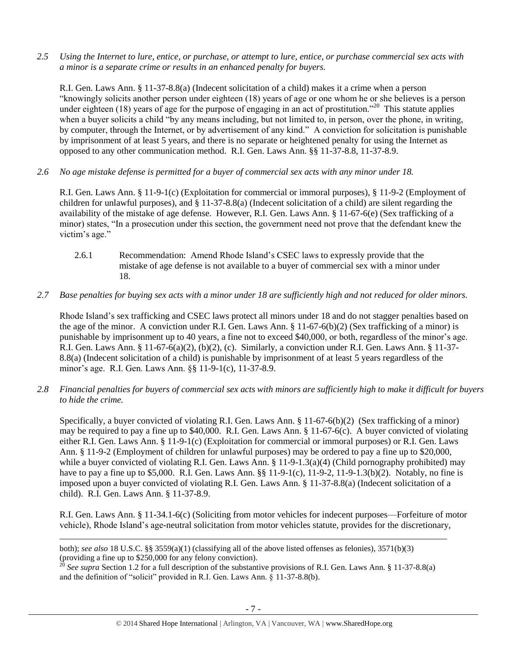*2.5 Using the Internet to lure, entice, or purchase, or attempt to lure, entice, or purchase commercial sex acts with a minor is a separate crime or results in an enhanced penalty for buyers.*

R.I. Gen. Laws Ann. § 11-37-8.8(a) (Indecent solicitation of a child) makes it a crime when a person "knowingly solicits another person under eighteen (18) years of age or one whom he or she believes is a person under eighteen (18) years of age for the purpose of engaging in an act of prostitution."<sup>20</sup> This statute applies when a buyer solicits a child "by any means including, but not limited to, in person, over the phone, in writing, by computer, through the Internet, or by advertisement of any kind." A conviction for solicitation is punishable by imprisonment of at least 5 years, and there is no separate or heightened penalty for using the Internet as opposed to any other communication method. R.I. Gen. Laws Ann. §§ 11-37-8.8, 11-37-8.9.

*2.6 No age mistake defense is permitted for a buyer of commercial sex acts with any minor under 18.*

R.I. Gen. Laws Ann. § 11-9-1(c) (Exploitation for commercial or immoral purposes), § 11-9-2 (Employment of children for unlawful purposes), and § 11-37-8.8(a) (Indecent solicitation of a child) are silent regarding the availability of the mistake of age defense. However, R.I. Gen. Laws Ann. § 11-67-6(e) (Sex trafficking of a minor) states, "In a prosecution under this section, the government need not prove that the defendant knew the victim's age."

- 2.6.1 Recommendation: Amend Rhode Island's CSEC laws to expressly provide that the mistake of age defense is not available to a buyer of commercial sex with a minor under 18.
- *2.7 Base penalties for buying sex acts with a minor under 18 are sufficiently high and not reduced for older minors.*

Rhode Island's sex trafficking and CSEC laws protect all minors under 18 and do not stagger penalties based on the age of the minor. A conviction under R.I. Gen. Laws Ann.  $\S$  11-67-6(b)(2) (Sex trafficking of a minor) is punishable by imprisonment up to 40 years, a fine not to exceed \$40,000, or both, regardless of the minor's age. R.I. Gen. Laws Ann. § 11-67-6(a)(2), (b)(2), (c). Similarly, a conviction under R.I. Gen. Laws Ann. § 11-37- 8.8(a) (Indecent solicitation of a child) is punishable by imprisonment of at least 5 years regardless of the minor's age. R.I. Gen. Laws Ann. §§ 11-9-1(c), 11-37-8.9.

*2.8 Financial penalties for buyers of commercial sex acts with minors are sufficiently high to make it difficult for buyers to hide the crime.*

Specifically, a buyer convicted of violating R.I. Gen. Laws Ann. § 11-67-6(b)(2) (Sex trafficking of a minor) may be required to pay a fine up to \$40,000. R.I. Gen. Laws Ann. § 11-67-6(c). A buyer convicted of violating either R.I. Gen. Laws Ann. § 11-9-1(c) (Exploitation for commercial or immoral purposes) or R.I. Gen. Laws Ann. § 11-9-2 (Employment of children for unlawful purposes) may be ordered to pay a fine up to \$20,000, while a buyer convicted of violating R.I. Gen. Laws Ann. § 11-9-1.3(a)(4) (Child pornography prohibited) may have to pay a fine up to \$5,000. R.I. Gen. Laws Ann. §§ 11-9-1(c), 11-9-2, 11-9-1.3(b)(2). Notably, no fine is imposed upon a buyer convicted of violating R.I. Gen. Laws Ann. § 11-37-8.8(a) (Indecent solicitation of a child). R.I. Gen. Laws Ann. § 11-37-8.9.

R.I. Gen. Laws Ann. § 11-34.1-6(c) (Soliciting from motor vehicles for indecent purposes—Forfeiture of motor vehicle), Rhode Island's age-neutral solicitation from motor vehicles statute, provides for the discretionary,

 $\overline{\phantom{a}}$ 

<sup>20</sup> *See supra* Section 1.2 for a full description of the substantive provisions of R.I. Gen. Laws Ann. § 11-37-8.8(a) and the definition of "solicit" provided in R.I. Gen. Laws Ann. § 11-37-8.8(b).

both); *see also* 18 U.S.C. §§ 3559(a)(1) (classifying all of the above listed offenses as felonies), 3571(b)(3) (providing a fine up to \$250,000 for any felony conviction).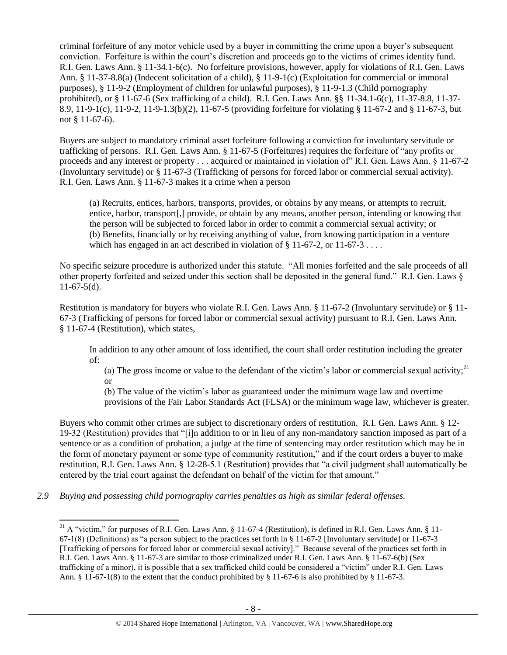criminal forfeiture of any motor vehicle used by a buyer in committing the crime upon a buyer's subsequent conviction. Forfeiture is within the court's discretion and proceeds go to the victims of crimes identity fund. R.I. Gen. Laws Ann. § 11-34.1-6(c). No forfeiture provisions, however, apply for violations of R.I. Gen. Laws Ann. § 11-37-8.8(a) (Indecent solicitation of a child), § 11-9-1(c) (Exploitation for commercial or immoral purposes), § 11-9-2 (Employment of children for unlawful purposes), § 11-9-1.3 (Child pornography prohibited), or § 11-67-6 (Sex trafficking of a child). R.I. Gen. Laws Ann. §§ 11-34.1-6(c), 11-37-8.8, 11-37- 8.9, 11-9-1(c), 11-9-2, 11-9-1.3(b)(2), 11-67-5 (providing forfeiture for violating § 11-67-2 and § 11-67-3, but not § 11-67-6).

Buyers are subject to mandatory criminal asset forfeiture following a conviction for involuntary servitude or trafficking of persons. R.I. Gen. Laws Ann. § 11-67-5 (Forfeitures) requires the forfeiture of "any profits or proceeds and any interest or property . . . acquired or maintained in violation of" R.I. Gen. Laws Ann. § 11-67-2 (Involuntary servitude) or § 11-67-3 (Trafficking of persons for forced labor or commercial sexual activity). R.I. Gen. Laws Ann. § 11-67-3 makes it a crime when a person

(a) Recruits, entices, harbors, transports, provides, or obtains by any means, or attempts to recruit, entice, harbor, transport[,] provide, or obtain by any means, another person, intending or knowing that the person will be subjected to forced labor in order to commit a commercial sexual activity; or (b) Benefits, financially or by receiving anything of value, from knowing participation in a venture which has engaged in an act described in violation of  $\S 11-67-2$ , or  $11-67-3$ ...

No specific seizure procedure is authorized under this statute. "All monies forfeited and the sale proceeds of all other property forfeited and seized under this section shall be deposited in the general fund." R.I. Gen. Laws §  $11-67-5(d)$ .

Restitution is mandatory for buyers who violate R.I. Gen. Laws Ann. § 11-67-2 (Involuntary servitude) or § 11- 67-3 (Trafficking of persons for forced labor or commercial sexual activity) pursuant to R.I. Gen. Laws Ann. § 11-67-4 (Restitution), which states,

In addition to any other amount of loss identified, the court shall order restitution including the greater of:

(a) The gross income or value to the defendant of the victim's labor or commercial sexual activity;<sup>21</sup> or

<span id="page-7-0"></span>(b) The value of the victim's labor as guaranteed under the minimum wage law and overtime provisions of the Fair Labor Standards Act (FLSA) or the minimum wage law, whichever is greater.

Buyers who commit other crimes are subject to discretionary orders of restitution. R.I. Gen. Laws Ann. § 12- 19-32 (Restitution) provides that "[i]n addition to or in lieu of any non-mandatory sanction imposed as part of a sentence or as a condition of probation, a judge at the time of sentencing may order restitution which may be in the form of monetary payment or some type of community restitution," and if the court orders a buyer to make restitution, R.I. Gen. Laws Ann. § 12-28-5.1 (Restitution) provides that "a civil judgment shall automatically be entered by the trial court against the defendant on behalf of the victim for that amount."

*2.9 Buying and possessing child pornography carries penalties as high as similar federal offenses.*

 $\overline{\phantom{a}}$ 

<sup>&</sup>lt;sup>21</sup> A "victim," for purposes of R.I. Gen. Laws Ann. § 11-67-4 (Restitution), is defined in R.I. Gen. Laws Ann. § 11-67-1(8) (Definitions) as "a person subject to the practices set forth in § 11-67-2 [Involuntary servitude] or 11-67-3 [Trafficking of persons for forced labor or commercial sexual activity]." Because several of the practices set forth in R.I. Gen. Laws Ann. § 11-67-3 are similar to those criminalized under R.I. Gen. Laws Ann. § 11-67-6(b) (Sex trafficking of a minor), it is possible that a sex trafficked child could be considered a "victim" under R.I. Gen. Laws Ann. § 11-67-1(8) to the extent that the conduct prohibited by § 11-67-6 is also prohibited by § 11-67-3.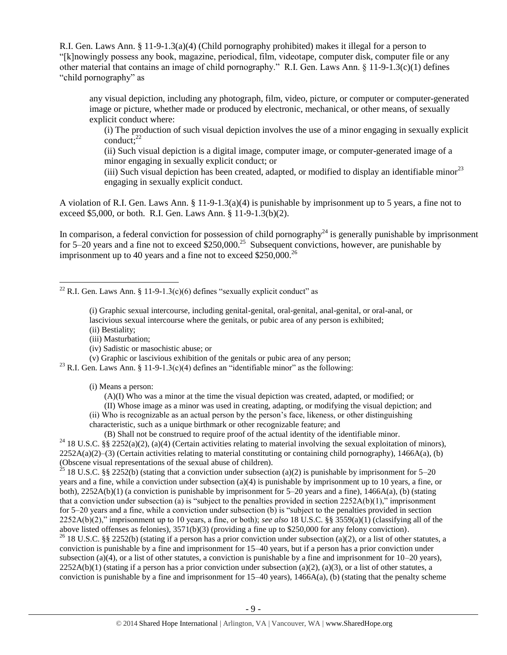R.I. Gen. Laws Ann. § 11-9-1.3(a)(4) (Child pornography prohibited) makes it illegal for a person to "[k]nowingly possess any book, magazine, periodical, film, videotape, computer disk, computer file or any other material that contains an image of child pornography." R.I. Gen. Laws Ann. § 11-9-1.3(c)(1) defines "child pornography" as

any visual depiction, including any photograph, film, video, picture, or computer or computer-generated image or picture, whether made or produced by electronic, mechanical, or other means, of sexually explicit conduct where:

(i) The production of such visual depiction involves the use of a minor engaging in sexually explicit conduct: $^{22}$ 

(ii) Such visual depiction is a digital image, computer image, or computer-generated image of a minor engaging in sexually explicit conduct; or

(iii) Such visual depiction has been created, adapted, or modified to display an identifiable minor<sup>23</sup> engaging in sexually explicit conduct.

A violation of R.I. Gen. Laws Ann. § 11-9-1.3(a)(4) is punishable by imprisonment up to 5 years, a fine not to exceed \$5,000, or both. R.I. Gen. Laws Ann. § 11-9-1.3(b)(2).

In comparison, a federal conviction for possession of child pornography<sup>24</sup> is generally punishable by imprisonment for 5–20 years and a fine not to exceed  $$250,000.<sup>25</sup>$  Subsequent convictions, however, are punishable by imprisonment up to 40 years and a fine not to exceed  $$250,000.<sup>26</sup>$ 

 $\overline{\phantom{a}}$ <sup>22</sup> R.I. Gen. Laws Ann. § 11-9-1.3(c)(6) defines "sexually explicit conduct" as

- (i) Graphic sexual intercourse, including genital-genital, oral-genital, anal-genital, or oral-anal, or lascivious sexual intercourse where the genitals, or pubic area of any person is exhibited;
- (ii) Bestiality;
- (iii) Masturbation;
- (iv) Sadistic or masochistic abuse; or
- (v) Graphic or lascivious exhibition of the genitals or pubic area of any person;

<sup>23</sup> R.I. Gen. Laws Ann. § 11-9-1.3(c)(4) defines an "identifiable minor" as the following:

- (i) Means a person:
	- (A)(I) Who was a minor at the time the visual depiction was created, adapted, or modified; or

(II) Whose image as a minor was used in creating, adapting, or modifying the visual depiction; and

(ii) Who is recognizable as an actual person by the person's face, likeness, or other distinguishing

characteristic, such as a unique birthmark or other recognizable feature; and

(B) Shall not be construed to require proof of the actual identity of the identifiable minor.

<sup>24</sup> 18 U.S.C. §§ 2252(a)(2), (a)(4) (Certain activities relating to material involving the sexual exploitation of minors),  $2252A(a)(2)$ –(3) (Certain activities relating to material constituting or containing child pornography), 1466A(a), (b) (Obscene visual representations of the sexual abuse of children).

<sup>25</sup> 18 U.S.C. §§ 2252(b) (stating that a conviction under subsection (a)(2) is punishable by imprisonment for 5–20 years and a fine, while a conviction under subsection (a)(4) is punishable by imprisonment up to 10 years, a fine, or both), 2252A(b)(1) (a conviction is punishable by imprisonment for 5–20 years and a fine), 1466A(a), (b) (stating that a conviction under subsection (a) is "subject to the penalties provided in section 2252A(b)(1)," imprisonment for 5–20 years and a fine, while a conviction under subsection (b) is "subject to the penalties provided in section 2252A(b)(2)," imprisonment up to 10 years, a fine, or both); *see also* 18 U.S.C. §§ 3559(a)(1) (classifying all of the above listed offenses as felonies), 3571(b)(3) (providing a fine up to \$250,000 for any felony conviction).

<sup>26</sup> 18 U.S.C. §§ 2252(b) (stating if a person has a prior conviction under subsection (a)(2), or a list of other statutes, a conviction is punishable by a fine and imprisonment for 15–40 years, but if a person has a prior conviction under subsection (a)(4), or a list of other statutes, a conviction is punishable by a fine and imprisonment for  $10-20$  years),  $2252A(b)(1)$  (stating if a person has a prior conviction under subsection (a)(2), (a)(3), or a list of other statutes, a conviction is punishable by a fine and imprisonment for  $15-40$  years),  $1466A(a)$ , (b) (stating that the penalty scheme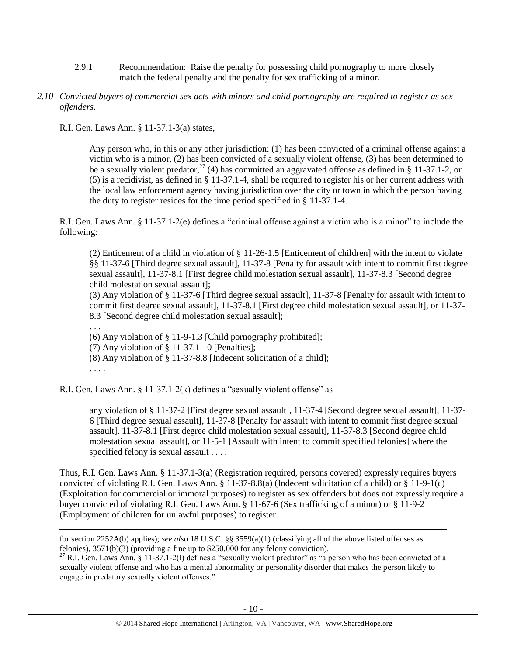- 2.9.1 Recommendation: Raise the penalty for possessing child pornography to more closely match the federal penalty and the penalty for sex trafficking of a minor.
- *2.10 Convicted buyers of commercial sex acts with minors and child pornography are required to register as sex offenders*.

R.I. Gen. Laws Ann. § 11-37.1-3(a) states,

 $\overline{a}$ 

Any person who, in this or any other jurisdiction: (1) has been convicted of a criminal offense against a victim who is a minor, (2) has been convicted of a sexually violent offense, (3) has been determined to be a sexually violent predator,<sup>27</sup> (4) has committed an aggravated offense as defined in § 11-37.1-2, or (5) is a recidivist, as defined in § 11-37.1-4, shall be required to register his or her current address with the local law enforcement agency having jurisdiction over the city or town in which the person having the duty to register resides for the time period specified in § 11-37.1-4.

R.I. Gen. Laws Ann. § 11-37.1-2(e) defines a "criminal offense against a victim who is a minor" to include the following:

(2) Enticement of a child in violation of § 11-26-1.5 [Enticement of children] with the intent to violate §§ 11-37-6 [Third degree sexual assault], 11-37-8 [Penalty for assault with intent to commit first degree sexual assault], 11-37-8.1 [First degree child molestation sexual assault], 11-37-8.3 [Second degree child molestation sexual assault];

(3) Any violation of § 11-37-6 [Third degree sexual assault], 11-37-8 [Penalty for assault with intent to commit first degree sexual assault], 11-37-8.1 [First degree child molestation sexual assault], or 11-37- 8.3 [Second degree child molestation sexual assault];

. . . (6) Any violation of § 11-9-1.3 [Child pornography prohibited]; (7) Any violation of § 11-37.1-10 [Penalties]; (8) Any violation of § 11-37-8.8 [Indecent solicitation of a child]; . . . .

R.I. Gen. Laws Ann. § 11-37.1-2(k) defines a "sexually violent offense" as

any violation of § 11-37-2 [First degree sexual assault], 11-37-4 [Second degree sexual assault], 11-37- 6 [Third degree sexual assault], 11-37-8 [Penalty for assault with intent to commit first degree sexual assault], 11-37-8.1 [First degree child molestation sexual assault], 11-37-8.3 [Second degree child molestation sexual assault], or 11-5-1 [Assault with intent to commit specified felonies] where the specified felony is sexual assault . . . .

Thus, R.I. Gen. Laws Ann. § 11-37.1-3(a) (Registration required, persons covered) expressly requires buyers convicted of violating R.I. Gen. Laws Ann. § 11-37-8.8(a) (Indecent solicitation of a child) or § 11-9-1(c) (Exploitation for commercial or immoral purposes) to register as sex offenders but does not expressly require a buyer convicted of violating R.I. Gen. Laws Ann. § 11-67-6 (Sex trafficking of a minor) or § 11-9-2 (Employment of children for unlawful purposes) to register.

for section 2252A(b) applies); *see also* 18 U.S.C. §§ 3559(a)(1) (classifying all of the above listed offenses as felonies), 3571(b)(3) (providing a fine up to \$250,000 for any felony conviction).

<sup>&</sup>lt;sup>27</sup> R.I. Gen. Laws Ann. § 11-37.1-2(1) defines a "sexually violent predator" as "a person who has been convicted of a sexually violent offense and who has a mental abnormality or personality disorder that makes the person likely to engage in predatory sexually violent offenses."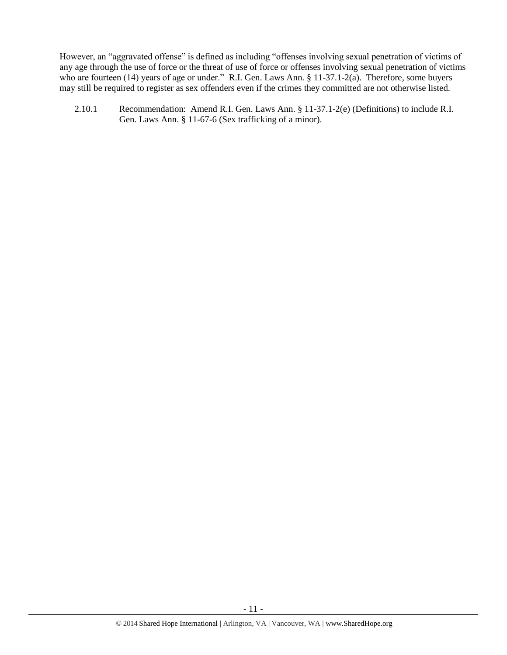However, an "aggravated offense" is defined as including "offenses involving sexual penetration of victims of any age through the use of force or the threat of use of force or offenses involving sexual penetration of victims who are fourteen (14) years of age or under." R.I. Gen. Laws Ann. § 11-37.1-2(a). Therefore, some buyers may still be required to register as sex offenders even if the crimes they committed are not otherwise listed.

2.10.1 Recommendation: Amend R.I. Gen. Laws Ann. § 11-37.1-2(e) (Definitions) to include R.I. Gen. Laws Ann. § 11-67-6 (Sex trafficking of a minor).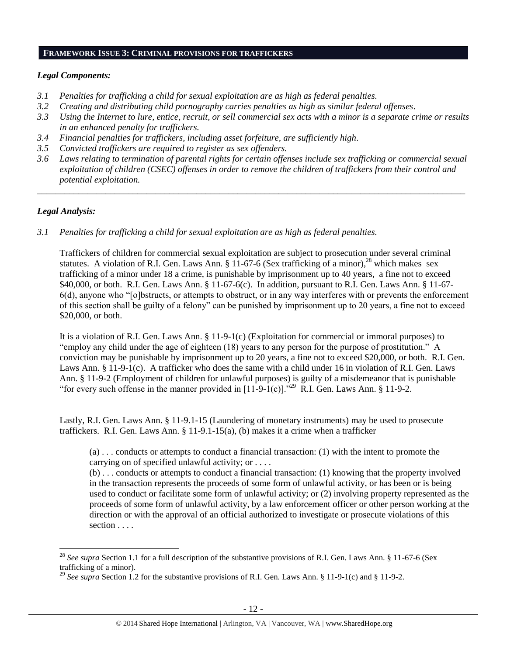#### **FRAMEWORK ISSUE 3: CRIMINAL PROVISIONS FOR TRAFFICKERS**

#### *Legal Components:*

- *3.1 Penalties for trafficking a child for sexual exploitation are as high as federal penalties.*
- *3.2 Creating and distributing child pornography carries penalties as high as similar federal offenses*.
- *3.3 Using the Internet to lure, entice, recruit, or sell commercial sex acts with a minor is a separate crime or results in an enhanced penalty for traffickers.*
- *3.4 Financial penalties for traffickers, including asset forfeiture, are sufficiently high*.
- *3.5 Convicted traffickers are required to register as sex offenders.*
- *3.6 Laws relating to termination of parental rights for certain offenses include sex trafficking or commercial sexual exploitation of children (CSEC) offenses in order to remove the children of traffickers from their control and potential exploitation.*

*\_\_\_\_\_\_\_\_\_\_\_\_\_\_\_\_\_\_\_\_\_\_\_\_\_\_\_\_\_\_\_\_\_\_\_\_\_\_\_\_\_\_\_\_\_\_\_\_\_\_\_\_\_\_\_\_\_\_\_\_\_\_\_\_\_\_\_\_\_\_\_\_\_\_\_\_\_\_\_\_\_\_\_\_\_\_\_\_\_\_\_\_\_\_*

## *Legal Analysis:*

 $\overline{\phantom{a}}$ 

*3.1 Penalties for trafficking a child for sexual exploitation are as high as federal penalties.* 

Traffickers of children for commercial sexual exploitation are subject to prosecution under several criminal statutes. A violation of R.I. Gen. Laws Ann. § 11-67-6 (Sex trafficking of a minor),<sup>28</sup> which makes sex trafficking of a minor under 18 a crime, is punishable by imprisonment up to 40 years, a fine not to exceed \$40,000, or both. R.I. Gen. Laws Ann. § 11-67-6(c). In addition, pursuant to R.I. Gen. Laws Ann. § 11-67- 6(d), anyone who "[o]bstructs, or attempts to obstruct, or in any way interferes with or prevents the enforcement of this section shall be guilty of a felony" can be punished by imprisonment up to 20 years, a fine not to exceed \$20,000, or both.

It is a violation of R.I. Gen. Laws Ann. § 11-9-1(c) (Exploitation for commercial or immoral purposes) to "employ any child under the age of eighteen (18) years to any person for the purpose of prostitution." A conviction may be punishable by imprisonment up to 20 years, a fine not to exceed \$20,000, or both. R.I. Gen. Laws Ann. § 11-9-1(c). A trafficker who does the same with a child under 16 in violation of R.I. Gen. Laws Ann. § 11-9-2 (Employment of children for unlawful purposes) is guilty of a misdemeanor that is punishable "for every such offense in the manner provided in  $[11-9-1(c)]$ ."<sup>29</sup> R.I. Gen. Laws Ann. § 11-9-2.

Lastly, R.I. Gen. Laws Ann. § 11-9.1-15 (Laundering of monetary instruments) may be used to prosecute traffickers. R.I. Gen. Laws Ann. § 11-9.1-15(a), (b) makes it a crime when a trafficker

(a) . . . conducts or attempts to conduct a financial transaction: (1) with the intent to promote the carrying on of specified unlawful activity; or . . . .

(b) . . . conducts or attempts to conduct a financial transaction: (1) knowing that the property involved in the transaction represents the proceeds of some form of unlawful activity, or has been or is being used to conduct or facilitate some form of unlawful activity; or (2) involving property represented as the proceeds of some form of unlawful activity, by a law enforcement officer or other person working at the direction or with the approval of an official authorized to investigate or prosecute violations of this section . . . .

<sup>&</sup>lt;sup>28</sup> See supra Section 1.1 for a full description of the substantive provisions of R.I. Gen. Laws Ann. § 11-67-6 (Sex trafficking of a minor).

<sup>&</sup>lt;sup>29</sup> See supra Section 1.2 for the substantive provisions of R.I. Gen. Laws Ann. § 11-9-1(c) and § 11-9-2.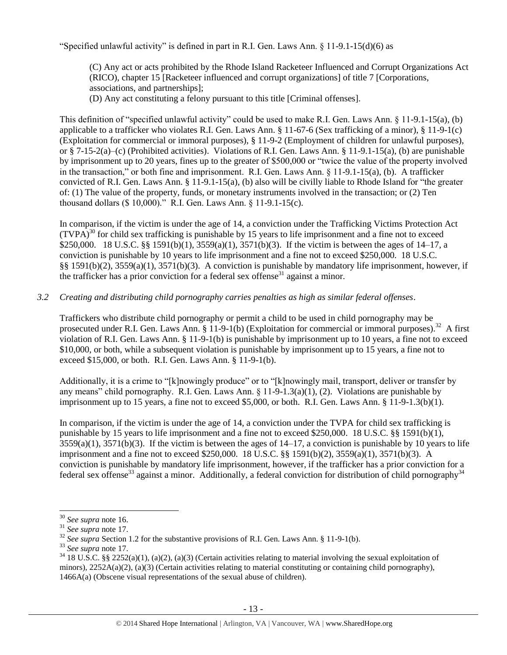"Specified unlawful activity" is defined in part in R.I. Gen. Laws Ann.  $\S$  11-9.1-15(d)(6) as

(C) Any act or acts prohibited by the Rhode Island Racketeer Influenced and Corrupt Organizations Act (RICO), chapter 15 [Racketeer influenced and corrupt organizations] of title 7 [Corporations, associations, and partnerships];

(D) Any act constituting a felony pursuant to this title [Criminal offenses].

This definition of "specified unlawful activity" could be used to make R.I. Gen. Laws Ann. § 11-9.1-15(a), (b) applicable to a trafficker who violates R.I. Gen. Laws Ann. § 11-67-6 (Sex trafficking of a minor), § 11-9-1(c) (Exploitation for commercial or immoral purposes), § 11-9-2 (Employment of children for unlawful purposes), or § 7-15-2(a)–(c) (Prohibited activities). Violations of R.I. Gen. Laws Ann. § 11-9.1-15(a), (b) are punishable by imprisonment up to 20 years, fines up to the greater of \$500,000 or "twice the value of the property involved in the transaction," or both fine and imprisonment. R.I. Gen. Laws Ann. § 11-9.1-15(a), (b). A trafficker convicted of R.I. Gen. Laws Ann. § 11-9.1-15(a), (b) also will be civilly liable to Rhode Island for "the greater of: (1) The value of the property, funds, or monetary instruments involved in the transaction; or (2) Ten thousand dollars (\$ 10,000)." R.I. Gen. Laws Ann. § 11-9.1-15(c).

In comparison, if the victim is under the age of 14, a conviction under the Trafficking Victims Protection Act  $(TVPA)<sup>30</sup>$  for child sex trafficking is punishable by 15 years to life imprisonment and a fine not to exceed \$250,000. 18 U.S.C. §§ 1591(b)(1), 3559(a)(1), 3571(b)(3). If the victim is between the ages of 14–17, a conviction is punishable by 10 years to life imprisonment and a fine not to exceed \$250,000. 18 U.S.C. §§ 1591(b)(2), 3559(a)(1), 3571(b)(3). A conviction is punishable by mandatory life imprisonment, however, if the trafficker has a prior conviction for a federal sex offense<sup>31</sup> against a minor.

## *3.2 Creating and distributing child pornography carries penalties as high as similar federal offenses*.

Traffickers who distribute child pornography or permit a child to be used in child pornography may be prosecuted under R.I. Gen. Laws Ann. § 11-9-1(b) (Exploitation for commercial or immoral purposes).<sup>32</sup> A first violation of R.I. Gen. Laws Ann. § 11-9-1(b) is punishable by imprisonment up to 10 years, a fine not to exceed \$10,000, or both, while a subsequent violation is punishable by imprisonment up to 15 years, a fine not to exceed \$15,000, or both. R.I. Gen. Laws Ann. § 11-9-1(b).

Additionally, it is a crime to "[k]nowingly produce" or to "[k]nowingly mail, transport, deliver or transfer by any means" child pornography. R.I. Gen. Laws Ann. § 11-9-1.3(a)(1), (2). Violations are punishable by imprisonment up to 15 years, a fine not to exceed \$5,000, or both. R.I. Gen. Laws Ann. § 11-9-1.3(b)(1).

In comparison, if the victim is under the age of 14, a conviction under the TVPA for child sex trafficking is punishable by 15 years to life imprisonment and a fine not to exceed \$250,000. 18 U.S.C. §§ 1591(b)(1),  $3559(a)(1)$ ,  $3571(b)(3)$ . If the victim is between the ages of  $14-17$ , a conviction is punishable by 10 years to life imprisonment and a fine not to exceed \$250,000. 18 U.S.C. §§ 1591(b)(2), 3559(a)(1), 3571(b)(3). A conviction is punishable by mandatory life imprisonment, however, if the trafficker has a prior conviction for a federal sex offense<sup>33</sup> against a minor. Additionally, a federal conviction for distribution of child pornography<sup>34</sup>

 $\overline{a}$ 

<sup>30</sup> *See supra* note [16.](#page-5-0)

<sup>31</sup> *See supra* note [17.](#page-5-1) 

<sup>&</sup>lt;sup>32</sup> *See supra* Section 1.2 for the substantive provisions of R.I. Gen. Laws Ann. § 11-9-1(b).

<sup>33</sup> *See supra* note [17.](#page-5-1)

 $34\,18$  U.S.C. §§ 2252(a)(1), (a)(2), (a)(3) (Certain activities relating to material involving the sexual exploitation of minors),  $2252A(a)(2)$ ,  $(a)(3)$  (Certain activities relating to material constituting or containing child pornography), 1466A(a) (Obscene visual representations of the sexual abuse of children).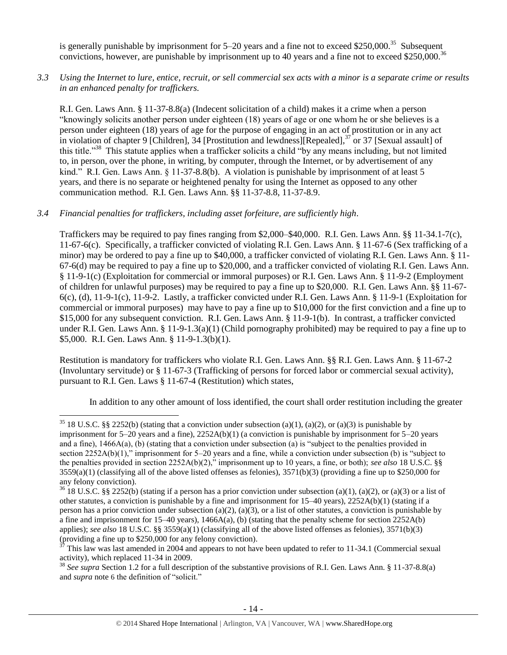is generally punishable by imprisonment for 5–20 years and a fine not to exceed \$250,000.<sup>35</sup> Subsequent convictions, however, are punishable by imprisonment up to 40 years and a fine not to exceed \$250,000.<sup>36</sup>

*3.3 Using the Internet to lure, entice, recruit, or sell commercial sex acts with a minor is a separate crime or results in an enhanced penalty for traffickers.*

R.I. Gen. Laws Ann. § 11-37-8.8(a) (Indecent solicitation of a child) makes it a crime when a person "knowingly solicits another person under eighteen (18) years of age or one whom he or she believes is a person under eighteen (18) years of age for the purpose of engaging in an act of prostitution or in any act in violation of chapter 9 [Children], 34 [Prostitution and lewdness][Repealed],<sup>37</sup> or 37 [Sexual assault] of this title."<sup>38</sup> This statute applies when a trafficker solicits a child "by any means including, but not limited to, in person, over the phone, in writing, by computer, through the Internet, or by advertisement of any kind." R.I. Gen. Laws Ann. § 11-37-8.8(b). A violation is punishable by imprisonment of at least 5 years, and there is no separate or heightened penalty for using the Internet as opposed to any other communication method. R.I. Gen. Laws Ann. §§ 11-37-8.8, 11-37-8.9.

## *3.4 Financial penalties for traffickers, including asset forfeiture, are sufficiently high*.

 $\overline{a}$ 

Traffickers may be required to pay fines ranging from \$2,000–\$40,000. R.I. Gen. Laws Ann. §§ 11-34.1-7(c), 11-67-6(c). Specifically, a trafficker convicted of violating R.I. Gen. Laws Ann. § 11-67-6 (Sex trafficking of a minor) may be ordered to pay a fine up to \$40,000, a trafficker convicted of violating R.I. Gen. Laws Ann. § 11- 67-6(d) may be required to pay a fine up to \$20,000, and a trafficker convicted of violating R.I. Gen. Laws Ann. § 11-9-1(c) (Exploitation for commercial or immoral purposes) or R.I. Gen. Laws Ann. § 11-9-2 (Employment of children for unlawful purposes) may be required to pay a fine up to \$20,000. R.I. Gen. Laws Ann. §§ 11-67-  $6(c)$ , (d), 11-9-1(c), 11-9-2. Lastly, a trafficker convicted under R.I. Gen. Laws Ann. § 11-9-1 (Exploitation for commercial or immoral purposes) may have to pay a fine up to \$10,000 for the first conviction and a fine up to \$15,000 for any subsequent conviction. R.I. Gen. Laws Ann. § 11-9-1(b). In contrast, a trafficker convicted under R.I. Gen. Laws Ann. § 11-9-1.3(a)(1) (Child pornography prohibited) may be required to pay a fine up to \$5,000. R.I. Gen. Laws Ann. § 11-9-1.3(b)(1).

Restitution is mandatory for traffickers who violate R.I. Gen. Laws Ann. §§ R.I. Gen. Laws Ann. § 11-67-2 (Involuntary servitude) or § 11-67-3 (Trafficking of persons for forced labor or commercial sexual activity), pursuant to R.I. Gen. Laws § 11-67-4 (Restitution) which states,

In addition to any other amount of loss identified, the court shall order restitution including the greater

<sup>&</sup>lt;sup>35</sup> 18 U.S.C. §§ 2252(b) (stating that a conviction under subsection (a)(1), (a)(2), or (a)(3) is punishable by imprisonment for  $5-20$  years and a fine),  $2252A(b)(1)$  (a conviction is punishable by imprisonment for  $5-20$  years and a fine), 1466A(a), (b) (stating that a conviction under subsection (a) is "subject to the penalties provided in section 2252A(b)(1)," imprisonment for 5–20 years and a fine, while a conviction under subsection (b) is "subject to the penalties provided in section 2252A(b)(2)," imprisonment up to 10 years, a fine, or both); *see also* 18 U.S.C. §§  $3559(a)(1)$  (classifying all of the above listed offenses as felonies),  $3571(b)(3)$  (providing a fine up to \$250,000 for any felony conviction).

 $36\overline{18}$  U.S.C. §§ 2252(b) (stating if a person has a prior conviction under subsection (a)(1), (a)(2), or (a)(3) or a list of other statutes, a conviction is punishable by a fine and imprisonment for 15–40 years), 2252A(b)(1) (stating if a person has a prior conviction under subsection (a)(2), (a)(3), or a list of other statutes, a conviction is punishable by a fine and imprisonment for  $15-40$  years),  $1466A(a)$ , (b) (stating that the penalty scheme for section  $2252A(b)$ applies); *see also* 18 U.S.C. §§ 3559(a)(1) (classifying all of the above listed offenses as felonies), 3571(b)(3) (providing a fine up to \$250,000 for any felony conviction).

<sup>37</sup> This law was last amended in 2004 and appears to not have been updated to refer to 11-34.1 (Commercial sexual activity), which replaced 11-34 in 2009.

<sup>38</sup> *See supra* Section 1.2 for a full description of the substantive provisions of R.I. Gen. Laws Ann. § 11-37-8.8(a) and *supra* note [6](#page-2-1) the definition of "solicit."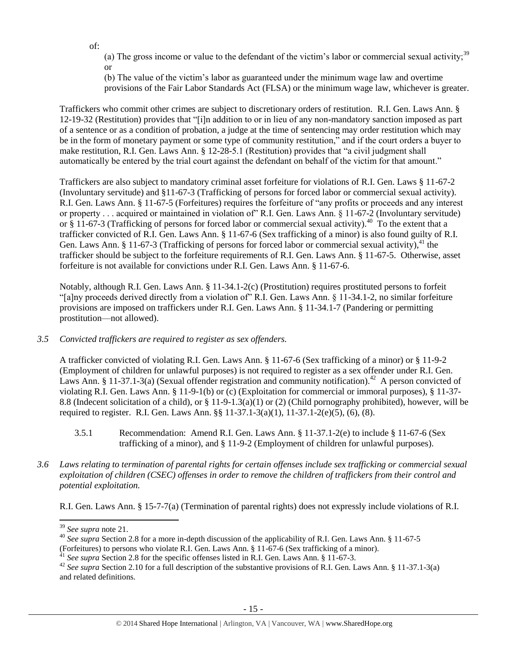of:

(a) The gross income or value to the defendant of the victim's labor or commercial sexual activity;<sup>39</sup> or

(b) The value of the victim's labor as guaranteed under the minimum wage law and overtime provisions of the Fair Labor Standards Act (FLSA) or the minimum wage law, whichever is greater.

Traffickers who commit other crimes are subject to discretionary orders of restitution. R.I. Gen. Laws Ann. § 12-19-32 (Restitution) provides that "[i]n addition to or in lieu of any non-mandatory sanction imposed as part of a sentence or as a condition of probation, a judge at the time of sentencing may order restitution which may be in the form of monetary payment or some type of community restitution," and if the court orders a buyer to make restitution, R.I. Gen. Laws Ann. § 12-28-5.1 (Restitution) provides that "a civil judgment shall automatically be entered by the trial court against the defendant on behalf of the victim for that amount."

Traffickers are also subject to mandatory criminal asset forfeiture for violations of R.I. Gen. Laws § 11-67-2 (Involuntary servitude) and §11-67-3 (Trafficking of persons for forced labor or commercial sexual activity). R.I. Gen. Laws Ann. § 11-67-5 (Forfeitures) requires the forfeiture of "any profits or proceeds and any interest or property . . . acquired or maintained in violation of" R.I. Gen. Laws Ann. § 11-67-2 (Involuntary servitude) or  $\S$  11-67-3 (Trafficking of persons for forced labor or commercial sexual activity).<sup>40</sup> To the extent that a trafficker convicted of R.I. Gen. Laws Ann. § 11-67-6 (Sex trafficking of a minor) is also found guilty of R.I. Gen. Laws Ann. § 11-67-3 (Trafficking of persons for forced labor or commercial sexual activity), $^{41}$  the trafficker should be subject to the forfeiture requirements of R.I. Gen. Laws Ann. § 11-67-5. Otherwise, asset forfeiture is not available for convictions under R.I. Gen. Laws Ann. § 11-67-6.

Notably, although R.I. Gen. Laws Ann. § 11-34.1-2(c) (Prostitution) requires prostituted persons to forfeit "[a]ny proceeds derived directly from a violation of" R.I. Gen. Laws Ann. § 11-34.1-2, no similar forfeiture provisions are imposed on traffickers under R.I. Gen. Laws Ann. § 11-34.1-7 (Pandering or permitting prostitution—not allowed).

*3.5 Convicted traffickers are required to register as sex offenders.*

A trafficker convicted of violating R.I. Gen. Laws Ann. § 11-67-6 (Sex trafficking of a minor) or § 11-9-2 (Employment of children for unlawful purposes) is not required to register as a sex offender under R.I. Gen. Laws Ann. § 11-37.1-3(a) (Sexual offender registration and community notification).<sup>42</sup> A person convicted of violating R.I. Gen. Laws Ann. § 11-9-1(b) or (c) (Exploitation for commercial or immoral purposes), § 11-37- 8.8 (Indecent solicitation of a child), or § 11-9-1.3(a)(1) or (2) (Child pornography prohibited), however, will be required to register. R.I. Gen. Laws Ann. §§ 11-37.1-3(a)(1), 11-37.1-2(e)(5), (6), (8).

- 3.5.1 Recommendation: Amend R.I. Gen. Laws Ann. § 11-37.1-2(e) to include § 11-67-6 (Sex trafficking of a minor), and § 11-9-2 (Employment of children for unlawful purposes).
- *3.6 Laws relating to termination of parental rights for certain offenses include sex trafficking or commercial sexual exploitation of children (CSEC) offenses in order to remove the children of traffickers from their control and potential exploitation.*

R.I. Gen. Laws Ann. § 15-7-7(a) (Termination of parental rights) does not expressly include violations of R.I.

 $\overline{\phantom{a}}$ <sup>39</sup> *See supra* note [21.](#page-7-0) 

<sup>&</sup>lt;sup>40</sup> See supra Section 2.8 for a more in-depth discussion of the applicability of R.I. Gen. Laws Ann. § 11-67-5

<sup>(</sup>Forfeitures) to persons who violate R.I. Gen. Laws Ann. § 11-67-6 (Sex trafficking of a minor).

<sup>41</sup> *See supra* Section 2.8 for the specific offenses listed in R.I. Gen. Laws Ann. § 11-67-3.

<sup>&</sup>lt;sup>42</sup> See supra Section 2.10 for a full description of the substantive provisions of R.I. Gen. Laws Ann. § 11-37.1-3(a) and related definitions.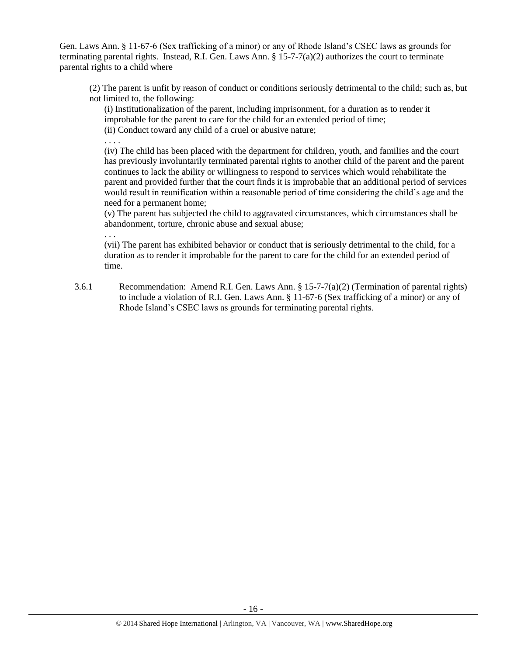Gen. Laws Ann. § 11-67-6 (Sex trafficking of a minor) or any of Rhode Island's CSEC laws as grounds for terminating parental rights. Instead, R.I. Gen. Laws Ann.  $\S 15$ -7-7(a)(2) authorizes the court to terminate parental rights to a child where

(2) The parent is unfit by reason of conduct or conditions seriously detrimental to the child; such as, but not limited to, the following:

(i) Institutionalization of the parent, including imprisonment, for a duration as to render it improbable for the parent to care for the child for an extended period of time;

(ii) Conduct toward any child of a cruel or abusive nature; . . . .

(iv) The child has been placed with the department for children, youth, and families and the court has previously involuntarily terminated parental rights to another child of the parent and the parent continues to lack the ability or willingness to respond to services which would rehabilitate the parent and provided further that the court finds it is improbable that an additional period of services would result in reunification within a reasonable period of time considering the child's age and the need for a permanent home;

(v) The parent has subjected the child to aggravated circumstances, which circumstances shall be abandonment, torture, chronic abuse and sexual abuse;

. . .

(vii) The parent has exhibited behavior or conduct that is seriously detrimental to the child, for a duration as to render it improbable for the parent to care for the child for an extended period of time.

3.6.1 Recommendation: Amend R.I. Gen. Laws Ann. § 15-7-7(a)(2) (Termination of parental rights) to include a violation of R.I. Gen. Laws Ann. § 11-67-6 (Sex trafficking of a minor) or any of Rhode Island's CSEC laws as grounds for terminating parental rights.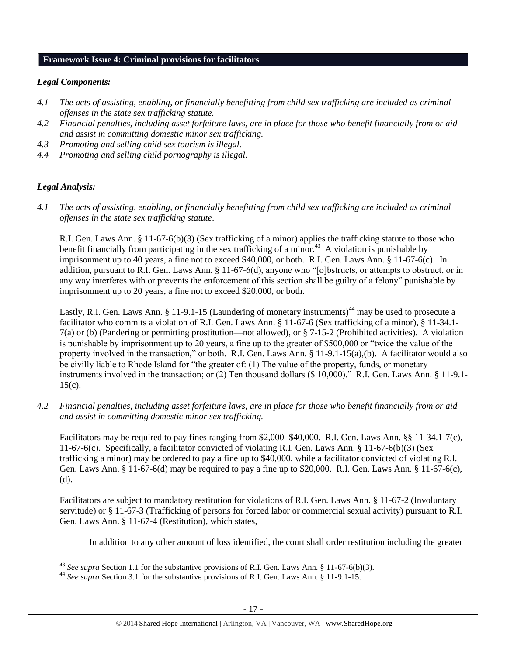# **Framework Issue 4: Criminal provisions for facilitators**

#### *Legal Components:*

- *4.1 The acts of assisting, enabling, or financially benefitting from child sex trafficking are included as criminal offenses in the state sex trafficking statute.*
- *4.2 Financial penalties, including asset forfeiture laws, are in place for those who benefit financially from or aid and assist in committing domestic minor sex trafficking.*

*\_\_\_\_\_\_\_\_\_\_\_\_\_\_\_\_\_\_\_\_\_\_\_\_\_\_\_\_\_\_\_\_\_\_\_\_\_\_\_\_\_\_\_\_\_\_\_\_\_\_\_\_\_\_\_\_\_\_\_\_\_\_\_\_\_\_\_\_\_\_\_\_\_\_\_\_\_\_\_\_\_\_\_\_\_\_\_\_\_\_\_\_\_\_*

- *4.3 Promoting and selling child sex tourism is illegal.*
- *4.4 Promoting and selling child pornography is illegal.*

## *Legal Analysis:*

*4.1 The acts of assisting, enabling, or financially benefitting from child sex trafficking are included as criminal offenses in the state sex trafficking statute*.

R.I. Gen. Laws Ann. § 11-67-6(b)(3) (Sex trafficking of a minor) applies the trafficking statute to those who benefit financially from participating in the sex trafficking of a minor.<sup>43</sup> A violation is punishable by imprisonment up to 40 years, a fine not to exceed \$40,000, or both. R.I. Gen. Laws Ann. § 11-67-6(c). In addition, pursuant to R.I. Gen. Laws Ann. § 11-67-6(d), anyone who "[o]bstructs, or attempts to obstruct, or in any way interferes with or prevents the enforcement of this section shall be guilty of a felony" punishable by imprisonment up to 20 years, a fine not to exceed \$20,000, or both.

Lastly, R.I. Gen. Laws Ann. § 11-9.1-15 (Laundering of monetary instruments)<sup>44</sup> may be used to prosecute a facilitator who commits a violation of R.I. Gen. Laws Ann. § 11-67-6 (Sex trafficking of a minor), § 11-34.1- 7(a) or (b) (Pandering or permitting prostitution—not allowed), or § 7-15-2 (Prohibited activities). A violation is punishable by imprisonment up to 20 years, a fine up to the greater of \$500,000 or "twice the value of the property involved in the transaction," or both. R.I. Gen. Laws Ann. § 11-9.1-15(a),(b). A facilitator would also be civilly liable to Rhode Island for "the greater of: (1) The value of the property, funds, or monetary instruments involved in the transaction; or (2) Ten thousand dollars (\$ 10,000)." R.I. Gen. Laws Ann. § 11-9.1-  $15(c)$ .

*4.2 Financial penalties, including asset forfeiture laws, are in place for those who benefit financially from or aid and assist in committing domestic minor sex trafficking.*

Facilitators may be required to pay fines ranging from \$2,000–\$40,000. R.I. Gen. Laws Ann. §§ 11-34.1-7(c), 11-67-6(c). Specifically, a facilitator convicted of violating R.I. Gen. Laws Ann. § 11-67-6(b)(3) (Sex trafficking a minor) may be ordered to pay a fine up to \$40,000, while a facilitator convicted of violating R.I. Gen. Laws Ann. § 11-67-6(d) may be required to pay a fine up to \$20,000. R.I. Gen. Laws Ann. § 11-67-6(c), (d).

Facilitators are subject to mandatory restitution for violations of R.I. Gen. Laws Ann. § 11-67-2 (Involuntary servitude) or § 11-67-3 (Trafficking of persons for forced labor or commercial sexual activity) pursuant to R.I. Gen. Laws Ann. § 11-67-4 (Restitution), which states,

In addition to any other amount of loss identified, the court shall order restitution including the greater

l <sup>43</sup> *See supra* Section 1.1 for the substantive provisions of R.I. Gen. Laws Ann. § 11-67-6(b)(3).

<sup>44</sup> *See supra* Section 3.1 for the substantive provisions of R.I. Gen. Laws Ann. § 11-9.1-15.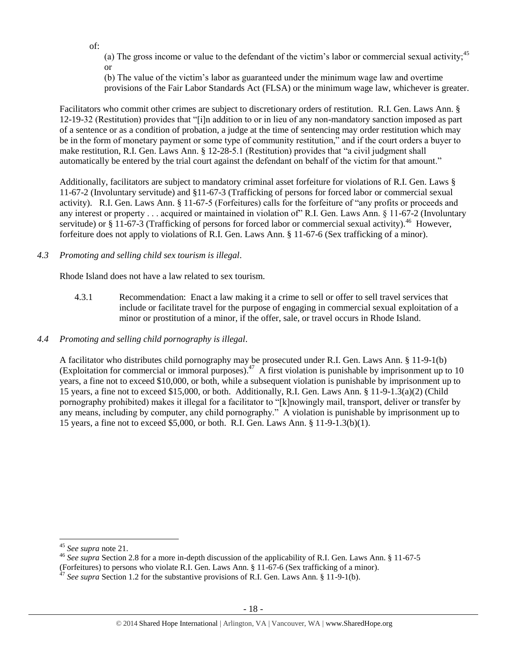of:

(a) The gross income or value to the defendant of the victim's labor or commercial sexual activity;<sup>45</sup> or

(b) The value of the victim's labor as guaranteed under the minimum wage law and overtime provisions of the Fair Labor Standards Act (FLSA) or the minimum wage law, whichever is greater.

Facilitators who commit other crimes are subject to discretionary orders of restitution. R.I. Gen. Laws Ann. § 12-19-32 (Restitution) provides that "[i]n addition to or in lieu of any non-mandatory sanction imposed as part of a sentence or as a condition of probation, a judge at the time of sentencing may order restitution which may be in the form of monetary payment or some type of community restitution," and if the court orders a buyer to make restitution, R.I. Gen. Laws Ann. § 12-28-5.1 (Restitution) provides that "a civil judgment shall automatically be entered by the trial court against the defendant on behalf of the victim for that amount."

Additionally, facilitators are subject to mandatory criminal asset forfeiture for violations of R.I. Gen. Laws § 11-67-2 (Involuntary servitude) and §11-67-3 (Trafficking of persons for forced labor or commercial sexual activity). R.I. Gen. Laws Ann. § 11-67-5 (Forfeitures) calls for the forfeiture of "any profits or proceeds and any interest or property . . . acquired or maintained in violation of" R.I. Gen. Laws Ann. § 11-67-2 (Involuntary servitude) or  $\S 11$ -67-3 (Trafficking of persons for forced labor or commercial sexual activity).<sup>46</sup> However, forfeiture does not apply to violations of R.I. Gen. Laws Ann. § 11-67-6 (Sex trafficking of a minor).

*4.3 Promoting and selling child sex tourism is illegal*.

Rhode Island does not have a law related to sex tourism.

- 4.3.1 Recommendation: Enact a law making it a crime to sell or offer to sell travel services that include or facilitate travel for the purpose of engaging in commercial sexual exploitation of a minor or prostitution of a minor, if the offer, sale, or travel occurs in Rhode Island.
- *4.4 Promoting and selling child pornography is illegal*.

A facilitator who distributes child pornography may be prosecuted under R.I. Gen. Laws Ann. § 11-9-1(b) (Exploitation for commercial or immoral purposes).<sup>47</sup> A first violation is punishable by imprisonment up to 10 years, a fine not to exceed \$10,000, or both, while a subsequent violation is punishable by imprisonment up to 15 years, a fine not to exceed \$15,000, or both. Additionally, R.I. Gen. Laws Ann. § 11-9-1.3(a)(2) (Child pornography prohibited) makes it illegal for a facilitator to "[k]nowingly mail, transport, deliver or transfer by any means, including by computer, any child pornography." A violation is punishable by imprisonment up to 15 years, a fine not to exceed \$5,000, or both. R.I. Gen. Laws Ann. § 11-9-1.3(b)(1).

 $\overline{\phantom{a}}$ 

<sup>45</sup> *See supra* note [21.](#page-7-0) 

<sup>46</sup> *See supra* Section 2.8 for a more in-depth discussion of the applicability of R.I. Gen. Laws Ann. § 11-67-5 (Forfeitures) to persons who violate R.I. Gen. Laws Ann. § 11-67-6 (Sex trafficking of a minor).

<sup>&</sup>lt;sup>47</sup> See supra Section 1.2 for the substantive provisions of R.I. Gen. Laws Ann. § 11-9-1(b).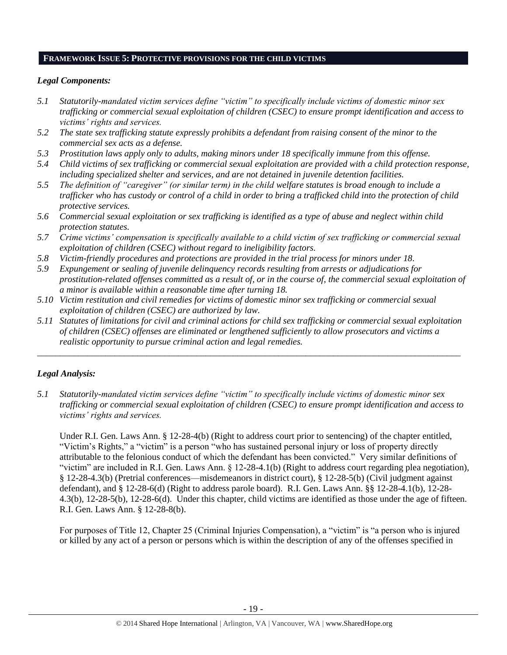#### **FRAMEWORK ISSUE 5: PROTECTIVE PROVISIONS FOR THE CHILD VICTIMS**

#### *Legal Components:*

- *5.1 Statutorily-mandated victim services define "victim" to specifically include victims of domestic minor sex trafficking or commercial sexual exploitation of children (CSEC) to ensure prompt identification and access to victims' rights and services.*
- *5.2 The state sex trafficking statute expressly prohibits a defendant from raising consent of the minor to the commercial sex acts as a defense.*
- *5.3 Prostitution laws apply only to adults, making minors under 18 specifically immune from this offense.*
- *5.4 Child victims of sex trafficking or commercial sexual exploitation are provided with a child protection response, including specialized shelter and services, and are not detained in juvenile detention facilities.*
- *5.5 The definition of "caregiver" (or similar term) in the child welfare statutes is broad enough to include a trafficker who has custody or control of a child in order to bring a trafficked child into the protection of child protective services.*
- *5.6 Commercial sexual exploitation or sex trafficking is identified as a type of abuse and neglect within child protection statutes.*
- *5.7 Crime victims' compensation is specifically available to a child victim of sex trafficking or commercial sexual exploitation of children (CSEC) without regard to ineligibility factors.*
- *5.8 Victim-friendly procedures and protections are provided in the trial process for minors under 18.*
- *5.9 Expungement or sealing of juvenile delinquency records resulting from arrests or adjudications for prostitution-related offenses committed as a result of, or in the course of, the commercial sexual exploitation of a minor is available within a reasonable time after turning 18.*
- *5.10 Victim restitution and civil remedies for victims of domestic minor sex trafficking or commercial sexual exploitation of children (CSEC) are authorized by law.*
- *5.11 Statutes of limitations for civil and criminal actions for child sex trafficking or commercial sexual exploitation of children (CSEC) offenses are eliminated or lengthened sufficiently to allow prosecutors and victims a realistic opportunity to pursue criminal action and legal remedies.*

*\_\_\_\_\_\_\_\_\_\_\_\_\_\_\_\_\_\_\_\_\_\_\_\_\_\_\_\_\_\_\_\_\_\_\_\_\_\_\_\_\_\_\_\_\_\_\_\_\_\_\_\_\_\_\_\_\_\_\_\_\_\_\_\_\_\_\_\_\_\_\_\_\_\_\_\_\_\_\_\_\_\_\_\_\_\_\_\_\_\_\_\_\_*

# *Legal Analysis:*

*5.1 Statutorily-mandated victim services define "victim" to specifically include victims of domestic minor sex trafficking or commercial sexual exploitation of children (CSEC) to ensure prompt identification and access to victims' rights and services.* 

Under R.I. Gen. Laws Ann. § 12-28-4(b) (Right to address court prior to sentencing) of the chapter entitled, "Victim's Rights," a "victim" is a person "who has sustained personal injury or loss of property directly attributable to the felonious conduct of which the defendant has been convicted." Very similar definitions of "victim" are included in R.I. Gen. Laws Ann. § 12-28-4.1(b) (Right to address court regarding plea negotiation), § 12-28-4.3(b) (Pretrial conferences—misdemeanors in district court), § 12-28-5(b) (Civil judgment against defendant), and § 12-28-6(d) (Right to address parole board). R.I. Gen. Laws Ann. §§ 12-28-4.1(b), 12-28- 4.3(b), 12-28-5(b), 12-28-6(d). Under this chapter, child victims are identified as those under the age of fifteen. R.I. Gen. Laws Ann. § 12-28-8(b).

For purposes of Title 12, Chapter 25 (Criminal Injuries Compensation), a "victim" is "a person who is injured or killed by any act of a person or persons which is within the description of any of the offenses specified in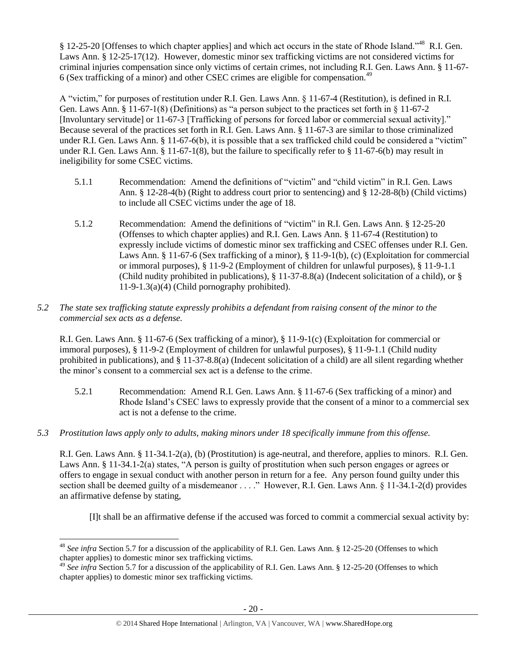§ 12-25-20 [Offenses to which chapter applies] and which act occurs in the state of Rhode Island."<sup>48</sup> R.I. Gen. Laws Ann. § 12-25-17(12). However, domestic minor sex trafficking victims are not considered victims for criminal injuries compensation since only victims of certain crimes, not including R.I. Gen. Laws Ann. § 11-67- 6 (Sex trafficking of a minor) and other CSEC crimes are eligible for compensation.<sup>49</sup>

A "victim," for purposes of restitution under R.I. Gen. Laws Ann. § 11-67-4 (Restitution), is defined in R.I. Gen. Laws Ann. § 11-67-1(8) (Definitions) as "a person subject to the practices set forth in § 11-67-2 [Involuntary servitude] or 11-67-3 [Trafficking of persons for forced labor or commercial sexual activity]." Because several of the practices set forth in R.I. Gen. Laws Ann. § 11-67-3 are similar to those criminalized under R.I. Gen. Laws Ann. § 11-67-6(b), it is possible that a sex trafficked child could be considered a "victim" under R.I. Gen. Laws Ann. § 11-67-1(8), but the failure to specifically refer to § 11-67-6(b) may result in ineligibility for some CSEC victims.

- 5.1.1 Recommendation: Amend the definitions of "victim" and "child victim" in R.I. Gen. Laws Ann. § 12-28-4(b) (Right to address court prior to sentencing) and § 12-28-8(b) (Child victims) to include all CSEC victims under the age of 18.
- 5.1.2 Recommendation: Amend the definitions of "victim" in R.I. Gen. Laws Ann. § 12-25-20 (Offenses to which chapter applies) and R.I. Gen. Laws Ann. § 11-67-4 (Restitution) to expressly include victims of domestic minor sex trafficking and CSEC offenses under R.I. Gen. Laws Ann. § 11-67-6 (Sex trafficking of a minor), § 11-9-1(b), (c) (Exploitation for commercial or immoral purposes), § 11-9-2 (Employment of children for unlawful purposes), § 11-9-1.1 (Child nudity prohibited in publications), § 11-37-8.8(a) (Indecent solicitation of a child), or § 11-9-1.3(a)(4) (Child pornography prohibited).

# *5.2 The state sex trafficking statute expressly prohibits a defendant from raising consent of the minor to the commercial sex acts as a defense.*

R.I. Gen. Laws Ann. § 11-67-6 (Sex trafficking of a minor), § 11-9-1(c) (Exploitation for commercial or immoral purposes), § 11-9-2 (Employment of children for unlawful purposes), § 11-9-1.1 (Child nudity prohibited in publications), and § 11-37-8.8(a) (Indecent solicitation of a child) are all silent regarding whether the minor's consent to a commercial sex act is a defense to the crime.

- 5.2.1 Recommendation: Amend R.I. Gen. Laws Ann. § 11-67-6 (Sex trafficking of a minor) and Rhode Island's CSEC laws to expressly provide that the consent of a minor to a commercial sex act is not a defense to the crime.
- *5.3 Prostitution laws apply only to adults, making minors under 18 specifically immune from this offense.*

R.I. Gen. Laws Ann. § 11-34.1-2(a), (b) (Prostitution) is age-neutral, and therefore, applies to minors. R.I. Gen. Laws Ann. § 11-34.1-2(a) states, "A person is guilty of prostitution when such person engages or agrees or offers to engage in sexual conduct with another person in return for a fee. Any person found guilty under this section shall be deemed guilty of a misdemeanor . . . ." However, R.I. Gen. Laws Ann. § 11-34.1-2(d) provides an affirmative defense by stating,

[I]t shall be an affirmative defense if the accused was forced to commit a commercial sexual activity by:

 $\overline{\phantom{a}}$ <sup>48</sup> See infra Section 5.7 for a discussion of the applicability of R.I. Gen. Laws Ann. § 12-25-20 (Offenses to which chapter applies) to domestic minor sex trafficking victims.

<sup>&</sup>lt;sup>49</sup> See infra Section 5.7 for a discussion of the applicability of R.I. Gen. Laws Ann. § 12-25-20 (Offenses to which chapter applies) to domestic minor sex trafficking victims.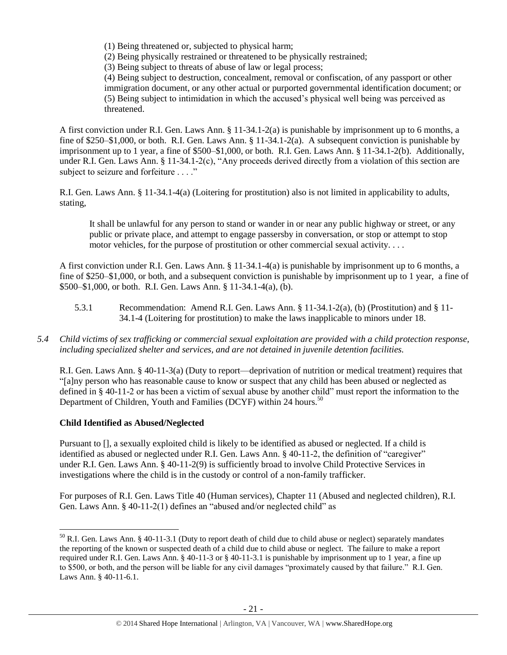(1) Being threatened or, subjected to physical harm;

(2) Being physically restrained or threatened to be physically restrained;

(3) Being subject to threats of abuse of law or legal process;

(4) Being subject to destruction, concealment, removal or confiscation, of any passport or other immigration document, or any other actual or purported governmental identification document; or (5) Being subject to intimidation in which the accused's physical well being was perceived as threatened.

A first conviction under R.I. Gen. Laws Ann. § 11-34.1-2(a) is punishable by imprisonment up to 6 months, a fine of \$250–\$1,000, or both. R.I. Gen. Laws Ann. § 11-34.1-2(a). A subsequent conviction is punishable by imprisonment up to 1 year, a fine of \$500–\$1,000, or both. R.I. Gen. Laws Ann. § 11-34.1-2(b). Additionally, under R.I. Gen. Laws Ann. § 11-34.1-2(c), "Any proceeds derived directly from a violation of this section are subject to seizure and forfeiture . . . ."

R.I. Gen. Laws Ann. § 11-34.1-4(a) (Loitering for prostitution) also is not limited in applicability to adults, stating,

It shall be unlawful for any person to stand or wander in or near any public highway or street, or any public or private place, and attempt to engage passersby in conversation, or stop or attempt to stop motor vehicles, for the purpose of prostitution or other commercial sexual activity. . . .

A first conviction under R.I. Gen. Laws Ann. § 11-34.1-4(a) is punishable by imprisonment up to 6 months, a fine of \$250–\$1,000, or both, and a subsequent conviction is punishable by imprisonment up to 1 year, a fine of \$500–\$1,000, or both. R.I. Gen. Laws Ann. § 11-34.1-4(a), (b).

- 5.3.1 Recommendation: Amend R.I. Gen. Laws Ann. § 11-34.1-2(a), (b) (Prostitution) and § 11- 34.1-4 (Loitering for prostitution) to make the laws inapplicable to minors under 18.
- *5.4 Child victims of sex trafficking or commercial sexual exploitation are provided with a child protection response, including specialized shelter and services, and are not detained in juvenile detention facilities.*

R.I. Gen. Laws Ann. § 40-11-3(a) (Duty to report—deprivation of nutrition or medical treatment) requires that "[a]ny person who has reasonable cause to know or suspect that any child has been abused or neglected as defined in § 40-11-2 or has been a victim of sexual abuse by another child" must report the information to the Department of Children, Youth and Families (DCYF) within 24 hours.<sup>50</sup>

# **Child Identified as Abused/Neglected**

Pursuant to [], a sexually exploited child is likely to be identified as abused or neglected. If a child is identified as abused or neglected under R.I. Gen. Laws Ann. § 40-11-2, the definition of "caregiver" under R.I. Gen. Laws Ann. § 40-11-2(9) is sufficiently broad to involve Child Protective Services in investigations where the child is in the custody or control of a non-family trafficker.

For purposes of R.I. Gen. Laws Title 40 (Human services), Chapter 11 (Abused and neglected children), R.I. Gen. Laws Ann. § 40-11-2(1) defines an "abused and/or neglected child" as

 $\overline{a}$  $50$  R.I. Gen. Laws Ann. § 40-11-3.1 (Duty to report death of child due to child abuse or neglect) separately mandates the reporting of the known or suspected death of a child due to child abuse or neglect. The failure to make a report required under R.I. Gen. Laws Ann. § 40-11-3 or § 40-11-3.1 is punishable by imprisonment up to 1 year, a fine up to \$500, or both, and the person will be liable for any civil damages "proximately caused by that failure." R.I. Gen. Laws Ann. § 40-11-6.1.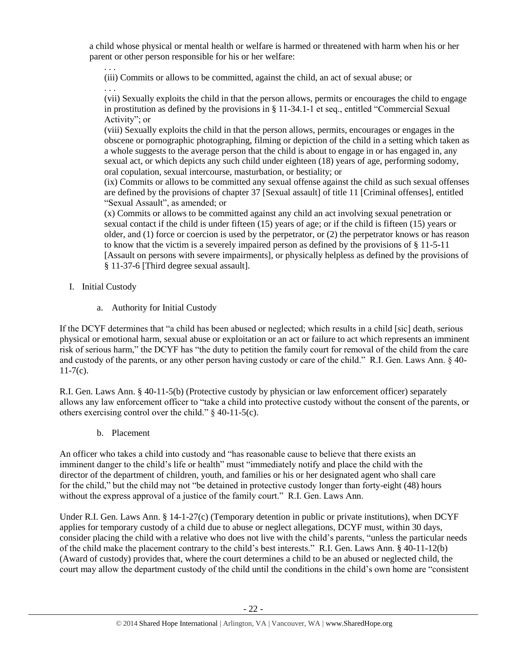a child whose physical or mental health or welfare is harmed or threatened with harm when his or her parent or other person responsible for his or her welfare:

. . . (iii) Commits or allows to be committed, against the child, an act of sexual abuse; or . . .

(vii) Sexually exploits the child in that the person allows, permits or encourages the child to engage in prostitution as defined by the provisions in § 11-34.1-1 et seq., entitled "Commercial Sexual Activity"; or

(viii) Sexually exploits the child in that the person allows, permits, encourages or engages in the obscene or pornographic photographing, filming or depiction of the child in a setting which taken as a whole suggests to the average person that the child is about to engage in or has engaged in, any sexual act, or which depicts any such child under eighteen (18) years of age, performing sodomy, oral copulation, sexual intercourse, masturbation, or bestiality; or

(ix) Commits or allows to be committed any sexual offense against the child as such sexual offenses are defined by the provisions of chapter 37 [Sexual assault] of title 11 [Criminal offenses], entitled "Sexual Assault", as amended; or

(x) Commits or allows to be committed against any child an act involving sexual penetration or sexual contact if the child is under fifteen (15) years of age; or if the child is fifteen (15) years or older, and (1) force or coercion is used by the perpetrator, or (2) the perpetrator knows or has reason to know that the victim is a severely impaired person as defined by the provisions of  $\S 11-5-11$ [Assault on persons with severe impairments], or physically helpless as defined by the provisions of § 11-37-6 [Third degree sexual assault].

- I. Initial Custody
	- a. Authority for Initial Custody

If the DCYF determines that "a child has been abused or neglected; which results in a child [sic] death, serious physical or emotional harm, sexual abuse or exploitation or an act or failure to act which represents an imminent risk of serious harm," the DCYF has "the duty to petition the family court for removal of the child from the care and custody of the parents, or any other person having custody or care of the child." R.I. Gen. Laws Ann. § 40-  $11-7(c)$ .

R.I. Gen. Laws Ann. § 40-11-5(b) (Protective custody by physician or law enforcement officer) separately allows any law enforcement officer to "take a child into protective custody without the consent of the parents, or others exercising control over the child." § 40-11-5(c).

b. Placement

An officer who takes a child into custody and "has reasonable cause to believe that there exists an imminent danger to the child's life or health" must "immediately notify and place the child with the director of the department of children, youth, and families or his or her designated agent who shall care for the child," but the child may not "be detained in protective custody longer than forty-eight (48) hours without the express approval of a justice of the family court." R.I. Gen. Laws Ann.

Under R.I. Gen. Laws Ann. § 14-1-27(c) (Temporary detention in public or private institutions), when DCYF applies for temporary custody of a child due to abuse or neglect allegations, DCYF must, within 30 days, consider placing the child with a relative who does not live with the child's parents, "unless the particular needs of the child make the placement contrary to the child's best interests." R.I. Gen. Laws Ann. § 40-11-12(b) (Award of custody) provides that, where the court determines a child to be an abused or neglected child, the court may allow the department custody of the child until the conditions in the child's own home are "consistent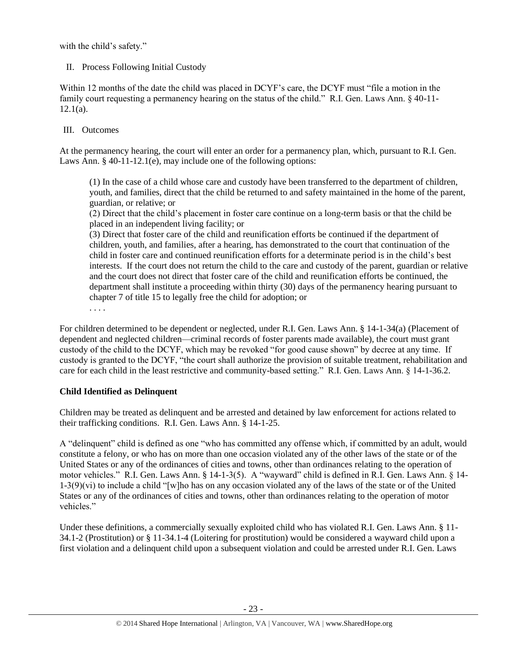with the child's safety."

# II. Process Following Initial Custody

Within 12 months of the date the child was placed in DCYF's care, the DCYF must "file a motion in the family court requesting a permanency hearing on the status of the child." R.I. Gen. Laws Ann. § 40-11-  $12.1(a)$ .

# III. Outcomes

At the permanency hearing, the court will enter an order for a permanency plan, which, pursuant to R.I. Gen. Laws Ann. § 40-11-12.1(e), may include one of the following options:

(1) In the case of a child whose care and custody have been transferred to the department of children, youth, and families, direct that the child be returned to and safety maintained in the home of the parent, guardian, or relative; or

(2) Direct that the child's placement in foster care continue on a long-term basis or that the child be placed in an independent living facility; or

(3) Direct that foster care of the child and reunification efforts be continued if the department of children, youth, and families, after a hearing, has demonstrated to the court that continuation of the child in foster care and continued reunification efforts for a determinate period is in the child's best interests. If the court does not return the child to the care and custody of the parent, guardian or relative and the court does not direct that foster care of the child and reunification efforts be continued, the department shall institute a proceeding within thirty (30) days of the permanency hearing pursuant to chapter 7 of title 15 to legally free the child for adoption; or

. . . .

For children determined to be dependent or neglected, under R.I. Gen. Laws Ann. § 14-1-34(a) (Placement of dependent and neglected children—criminal records of foster parents made available), the court must grant custody of the child to the DCYF, which may be revoked "for good cause shown" by decree at any time. If custody is granted to the DCYF, "the court shall authorize the provision of suitable treatment, rehabilitation and care for each child in the least restrictive and community-based setting." R.I. Gen. Laws Ann. § 14-1-36.2.

# **Child Identified as Delinquent**

Children may be treated as delinquent and be arrested and detained by law enforcement for actions related to their trafficking conditions. R.I. Gen. Laws Ann. § 14-1-25.

A "delinquent" child is defined as one "who has committed any offense which, if committed by an adult, would constitute a felony, or who has on more than one occasion violated any of the other laws of the state or of the United States or any of the ordinances of cities and towns, other than ordinances relating to the operation of motor vehicles." R.I. Gen. Laws Ann. § 14-1-3(5). A "wayward" child is defined in R.I. Gen. Laws Ann. § 14- 1-3(9)(vi) to include a child "[w]ho has on any occasion violated any of the laws of the state or of the United States or any of the ordinances of cities and towns, other than ordinances relating to the operation of motor vehicles."

Under these definitions, a commercially sexually exploited child who has violated R.I. Gen. Laws Ann. § 11- 34.1-2 (Prostitution) or § 11-34.1-4 (Loitering for prostitution) would be considered a wayward child upon a first violation and a delinquent child upon a subsequent violation and could be arrested under R.I. Gen. Laws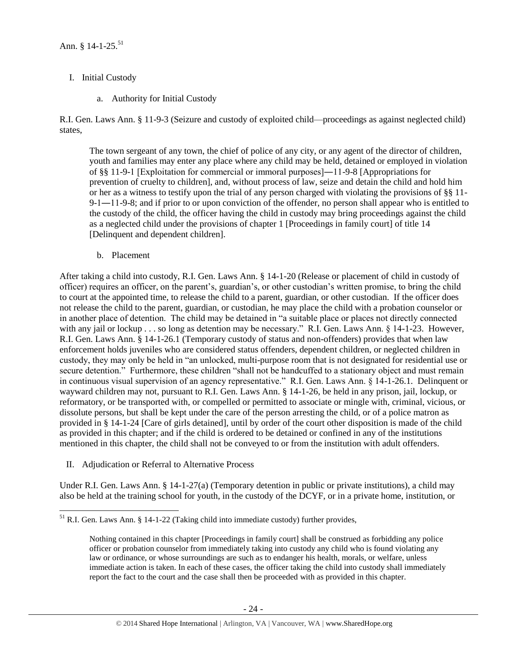- I. Initial Custody
	- a. Authority for Initial Custody

R.I. Gen. Laws Ann. § 11-9-3 (Seizure and custody of exploited child—proceedings as against neglected child) states,

The town sergeant of any town, the chief of police of any city, or any agent of the director of children, youth and families may enter any place where any child may be held, detained or employed in violation of §§ 11-9-1 [Exploitation for commercial or immoral purposes]―11-9-8 [Appropriations for prevention of cruelty to children], and, without process of law, seize and detain the child and hold him or her as a witness to testify upon the trial of any person charged with violating the provisions of §§ 11- 9-1―11-9-8; and if prior to or upon conviction of the offender, no person shall appear who is entitled to the custody of the child, the officer having the child in custody may bring proceedings against the child as a neglected child under the provisions of chapter 1 [Proceedings in family court] of title 14 [Delinquent and dependent children].

b. Placement

After taking a child into custody, R.I. Gen. Laws Ann. § 14-1-20 (Release or placement of child in custody of officer) requires an officer, on the parent's, guardian's, or other custodian's written promise, to bring the child to court at the appointed time, to release the child to a parent, guardian, or other custodian. If the officer does not release the child to the parent, guardian, or custodian, he may place the child with a probation counselor or in another place of detention. The child may be detained in "a suitable place or places not directly connected with any jail or lockup . . . so long as detention may be necessary." R.I. Gen. Laws Ann. § 14-1-23. However, R.I. Gen. Laws Ann. § 14-1-26.1 (Temporary custody of status and non-offenders) provides that when law enforcement holds juveniles who are considered status offenders, dependent children, or neglected children in custody, they may only be held in "an unlocked, multi-purpose room that is not designated for residential use or secure detention." Furthermore, these children "shall not be handcuffed to a stationary object and must remain in continuous visual supervision of an agency representative." R.I. Gen. Laws Ann. § 14-1-26.1. Delinquent or wayward children may not, pursuant to R.I. Gen. Laws Ann. § 14-1-26, be held in any prison, jail, lockup, or reformatory, or be transported with, or compelled or permitted to associate or mingle with, criminal, vicious, or dissolute persons, but shall be kept under the care of the person arresting the child, or of a police matron as provided in § 14-1-24 [Care of girls detained], until by order of the court other disposition is made of the child as provided in this chapter; and if the child is ordered to be detained or confined in any of the institutions mentioned in this chapter, the child shall not be conveyed to or from the institution with adult offenders.

II. Adjudication or Referral to Alternative Process

Under R.I. Gen. Laws Ann. § 14-1-27(a) (Temporary detention in public or private institutions), a child may also be held at the training school for youth, in the custody of the DCYF, or in a private home, institution, or

 $\overline{a}$  $<sup>51</sup>$  R.I. Gen. Laws Ann. § 14-1-22 (Taking child into immediate custody) further provides,</sup>

Nothing contained in this chapter [Proceedings in family court] shall be construed as forbidding any police officer or probation counselor from immediately taking into custody any child who is found violating any law or ordinance, or whose surroundings are such as to endanger his health, morals, or welfare, unless immediate action is taken. In each of these cases, the officer taking the child into custody shall immediately report the fact to the court and the case shall then be proceeded with as provided in this chapter.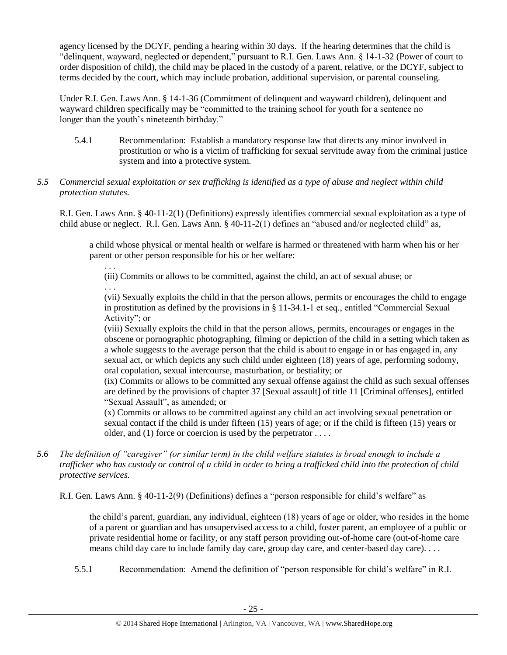agency licensed by the DCYF, pending a hearing within 30 days. If the hearing determines that the child is "delinquent, wayward, neglected or dependent," pursuant to R.I. Gen. Laws Ann. § 14-1-32 (Power of court to order disposition of child), the child may be placed in the custody of a parent, relative, or the DCYF, subject to terms decided by the court, which may include probation, additional supervision, or parental counseling.

Under R.I. Gen. Laws Ann. § 14-1-36 (Commitment of delinquent and wayward children), delinquent and wayward children specifically may be "committed to the training school for youth for a sentence no longer than the youth's nineteenth birthday."

- 5.4.1 Recommendation: Establish a mandatory response law that directs any minor involved in prostitution or who is a victim of trafficking for sexual servitude away from the criminal justice system and into a protective system.
- *5.5 Commercial sexual exploitation or sex trafficking is identified as a type of abuse and neglect within child protection statutes.*

. . .

. . .

R.I. Gen. Laws Ann. § 40-11-2(1) (Definitions) expressly identifies commercial sexual exploitation as a type of child abuse or neglect. R.I. Gen. Laws Ann. § 40-11-2(1) defines an "abused and/or neglected child" as,

a child whose physical or mental health or welfare is harmed or threatened with harm when his or her parent or other person responsible for his or her welfare:

(iii) Commits or allows to be committed, against the child, an act of sexual abuse; or

(vii) Sexually exploits the child in that the person allows, permits or encourages the child to engage in prostitution as defined by the provisions in § 11-34.1-1 et seq., entitled "Commercial Sexual Activity"; or

(viii) Sexually exploits the child in that the person allows, permits, encourages or engages in the obscene or pornographic photographing, filming or depiction of the child in a setting which taken as a whole suggests to the average person that the child is about to engage in or has engaged in, any sexual act, or which depicts any such child under eighteen (18) years of age, performing sodomy, oral copulation, sexual intercourse, masturbation, or bestiality; or

(ix) Commits or allows to be committed any sexual offense against the child as such sexual offenses are defined by the provisions of chapter 37 [Sexual assault] of title 11 [Criminal offenses], entitled "Sexual Assault", as amended; or

(x) Commits or allows to be committed against any child an act involving sexual penetration or sexual contact if the child is under fifteen (15) years of age; or if the child is fifteen (15) years or older, and (1) force or coercion is used by the perpetrator  $\dots$ .

*5.6 The definition of "caregiver" (or similar term) in the child welfare statutes is broad enough to include a trafficker who has custody or control of a child in order to bring a trafficked child into the protection of child protective services.*

R.I. Gen. Laws Ann. § 40-11-2(9) (Definitions) defines a "person responsible for child's welfare" as

the child's parent, guardian, any individual, eighteen (18) years of age or older, who resides in the home of a parent or guardian and has unsupervised access to a child, foster parent, an employee of a public or private residential home or facility, or any staff person providing out-of-home care (out-of-home care means child day care to include family day care, group day care, and center-based day care). . . .

5.5.1 Recommendation: Amend the definition of "person responsible for child's welfare" in R.I.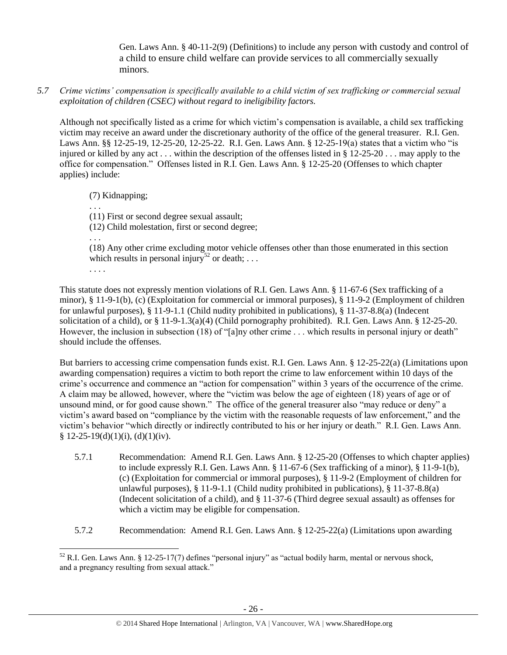Gen. Laws Ann. § 40-11-2(9) (Definitions) to include any person with custody and control of a child to ensure child welfare can provide services to all commercially sexually minors.

*5.7 Crime victims' compensation is specifically available to a child victim of sex trafficking or commercial sexual exploitation of children (CSEC) without regard to ineligibility factors.*

Although not specifically listed as a crime for which victim's compensation is available, a child sex trafficking victim may receive an award under the discretionary authority of the office of the general treasurer. R.I. Gen. Laws Ann. §§ 12-25-19, 12-25-20, 12-25-22. R.I. Gen. Laws Ann. § 12-25-19(a) states that a victim who "is injured or killed by any act . . . within the description of the offenses listed in § 12-25-20 . . . may apply to the office for compensation." Offenses listed in R.I. Gen. Laws Ann. § 12-25-20 (Offenses to which chapter applies) include:

(7) Kidnapping;

. . .

(11) First or second degree sexual assault;

(12) Child molestation, first or second degree;

. . .

(18) Any other crime excluding motor vehicle offenses other than those enumerated in this section which results in personal injury<sup>52</sup> or death; ...

. . . .

This statute does not expressly mention violations of R.I. Gen. Laws Ann. § 11-67-6 (Sex trafficking of a minor), § 11-9-1(b), (c) (Exploitation for commercial or immoral purposes), § 11-9-2 (Employment of children for unlawful purposes), § 11-9-1.1 (Child nudity prohibited in publications), § 11-37-8.8(a) (Indecent solicitation of a child), or § 11-9-1.3(a)(4) (Child pornography prohibited). R.I. Gen. Laws Ann. § 12-25-20. However, the inclusion in subsection (18) of "[a]ny other crime . . . which results in personal injury or death" should include the offenses.

But barriers to accessing crime compensation funds exist. R.I. Gen. Laws Ann. § 12-25-22(a) (Limitations upon awarding compensation) requires a victim to both report the crime to law enforcement within 10 days of the crime's occurrence and commence an "action for compensation" within 3 years of the occurrence of the crime. A claim may be allowed, however, where the "victim was below the age of eighteen (18) years of age or of unsound mind, or for good cause shown." The office of the general treasurer also "may reduce or deny" a victim's award based on "compliance by the victim with the reasonable requests of law enforcement," and the victim's behavior "which directly or indirectly contributed to his or her injury or death." R.I. Gen. Laws Ann.  $§ 12-25-19(d)(1)(i), (d)(1)(iv).$ 

- 5.7.1 Recommendation: Amend R.I. Gen. Laws Ann. § 12-25-20 (Offenses to which chapter applies) to include expressly R.I. Gen. Laws Ann. § 11-67-6 (Sex trafficking of a minor), § 11-9-1(b), (c) (Exploitation for commercial or immoral purposes), § 11-9-2 (Employment of children for unlawful purposes), § 11-9-1.1 (Child nudity prohibited in publications), § 11-37-8.8(a) (Indecent solicitation of a child), and § 11-37-6 (Third degree sexual assault) as offenses for which a victim may be eligible for compensation.
- 5.7.2 Recommendation: Amend R.I. Gen. Laws Ann. § 12-25-22(a) (Limitations upon awarding

 $\overline{\phantom{a}}$ <sup>52</sup> R.I. Gen. Laws Ann. § 12-25-17(7) defines "personal injury" as "actual bodily harm, mental or nervous shock, and a pregnancy resulting from sexual attack."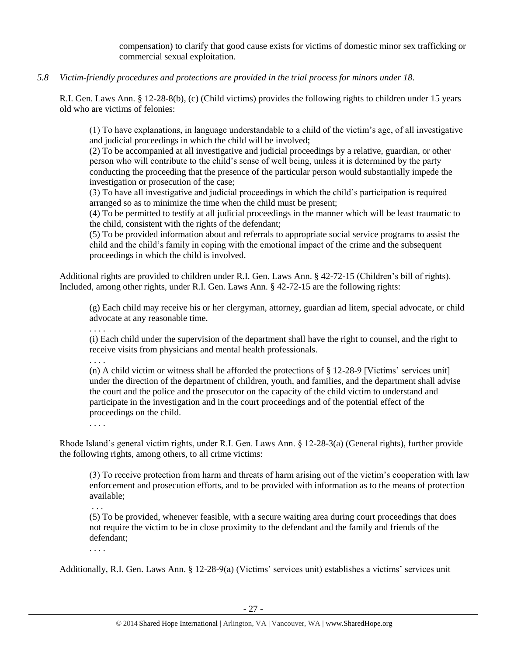compensation) to clarify that good cause exists for victims of domestic minor sex trafficking or commercial sexual exploitation.

*5.8 Victim-friendly procedures and protections are provided in the trial process for minors under 18.*

R.I. Gen. Laws Ann. § 12-28-8(b), (c) (Child victims) provides the following rights to children under 15 years old who are victims of felonies:

(1) To have explanations, in language understandable to a child of the victim's age, of all investigative and judicial proceedings in which the child will be involved;

(2) To be accompanied at all investigative and judicial proceedings by a relative, guardian, or other person who will contribute to the child's sense of well being, unless it is determined by the party conducting the proceeding that the presence of the particular person would substantially impede the investigation or prosecution of the case;

(3) To have all investigative and judicial proceedings in which the child's participation is required arranged so as to minimize the time when the child must be present;

(4) To be permitted to testify at all judicial proceedings in the manner which will be least traumatic to the child, consistent with the rights of the defendant;

(5) To be provided information about and referrals to appropriate social service programs to assist the child and the child's family in coping with the emotional impact of the crime and the subsequent proceedings in which the child is involved.

Additional rights are provided to children under R.I. Gen. Laws Ann. § 42-72-15 (Children's bill of rights). Included, among other rights, under R.I. Gen. Laws Ann. § 42-72-15 are the following rights:

(g) Each child may receive his or her clergyman, attorney, guardian ad litem, special advocate, or child advocate at any reasonable time.

. . . .

(i) Each child under the supervision of the department shall have the right to counsel, and the right to receive visits from physicians and mental health professionals.

. . . .

(n) A child victim or witness shall be afforded the protections of § 12-28-9 [Victims' services unit] under the direction of the department of children, youth, and families, and the department shall advise the court and the police and the prosecutor on the capacity of the child victim to understand and participate in the investigation and in the court proceedings and of the potential effect of the proceedings on the child.

. . . .

Rhode Island's general victim rights, under R.I. Gen. Laws Ann. § 12-28-3(a) (General rights), further provide the following rights, among others, to all crime victims:

(3) To receive protection from harm and threats of harm arising out of the victim's cooperation with law enforcement and prosecution efforts, and to be provided with information as to the means of protection available;

. . .

(5) To be provided, whenever feasible, with a secure waiting area during court proceedings that does not require the victim to be in close proximity to the defendant and the family and friends of the defendant;

. . . .

Additionally, R.I. Gen. Laws Ann. § 12-28-9(a) (Victims' services unit) establishes a victims' services unit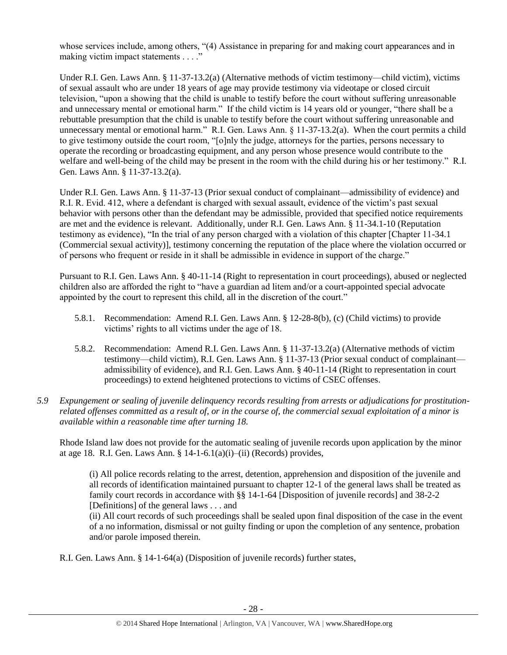whose services include, among others, "(4) Assistance in preparing for and making court appearances and in making victim impact statements . . . ."

Under R.I. Gen. Laws Ann. § 11-37-13.2(a) (Alternative methods of victim testimony—child victim), victims of sexual assault who are under 18 years of age may provide testimony via videotape or closed circuit television, "upon a showing that the child is unable to testify before the court without suffering unreasonable and unnecessary mental or emotional harm." If the child victim is 14 years old or younger, "there shall be a rebuttable presumption that the child is unable to testify before the court without suffering unreasonable and unnecessary mental or emotional harm." R.I. Gen. Laws Ann. § 11-37-13.2(a). When the court permits a child to give testimony outside the court room, "[o]nly the judge, attorneys for the parties, persons necessary to operate the recording or broadcasting equipment, and any person whose presence would contribute to the welfare and well-being of the child may be present in the room with the child during his or her testimony." R.I. Gen. Laws Ann. § 11-37-13.2(a).

Under R.I. Gen. Laws Ann. § 11-37-13 (Prior sexual conduct of complainant—admissibility of evidence) and R.I. R. Evid. 412, where a defendant is charged with sexual assault, evidence of the victim's past sexual behavior with persons other than the defendant may be admissible, provided that specified notice requirements are met and the evidence is relevant. Additionally, under R.I. Gen. Laws Ann. § 11-34.1-10 (Reputation testimony as evidence), "In the trial of any person charged with a violation of this chapter [Chapter 11-34.1 (Commercial sexual activity)], testimony concerning the reputation of the place where the violation occurred or of persons who frequent or reside in it shall be admissible in evidence in support of the charge."

Pursuant to R.I. Gen. Laws Ann. § 40-11-14 (Right to representation in court proceedings), abused or neglected children also are afforded the right to "have a guardian ad litem and/or a court-appointed special advocate appointed by the court to represent this child, all in the discretion of the court."

- 5.8.1. Recommendation: Amend R.I. Gen. Laws Ann. § 12-28-8(b), (c) (Child victims) to provide victims' rights to all victims under the age of 18.
- 5.8.2. Recommendation: Amend R.I. Gen. Laws Ann. § 11-37-13.2(a) (Alternative methods of victim testimony—child victim), R.I. Gen. Laws Ann. § 11-37-13 (Prior sexual conduct of complainant admissibility of evidence), and R.I. Gen. Laws Ann. § 40-11-14 (Right to representation in court proceedings) to extend heightened protections to victims of CSEC offenses.
- *5.9 Expungement or sealing of juvenile delinquency records resulting from arrests or adjudications for prostitutionrelated offenses committed as a result of, or in the course of, the commercial sexual exploitation of a minor is available within a reasonable time after turning 18.*

Rhode Island law does not provide for the automatic sealing of juvenile records upon application by the minor at age 18. R.I. Gen. Laws Ann. § 14-1-6.1(a)(i)–(ii) (Records) provides,

(i) All police records relating to the arrest, detention, apprehension and disposition of the juvenile and all records of identification maintained pursuant to chapter 12-1 of the general laws shall be treated as family court records in accordance with §§ 14-1-64 [Disposition of juvenile records] and 38-2-2 [Definitions] of the general laws . . . and

(ii) All court records of such proceedings shall be sealed upon final disposition of the case in the event of a no information, dismissal or not guilty finding or upon the completion of any sentence, probation and/or parole imposed therein.

R.I. Gen. Laws Ann. § 14-1-64(a) (Disposition of juvenile records) further states,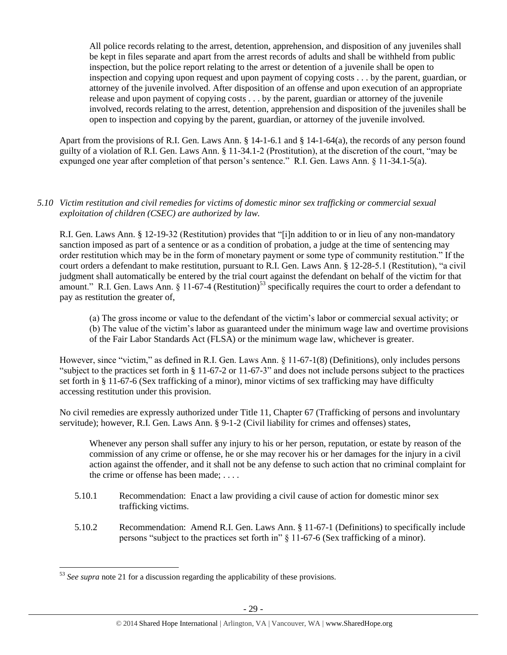All police records relating to the arrest, detention, apprehension, and disposition of any juveniles shall be kept in files separate and apart from the arrest records of adults and shall be withheld from public inspection, but the police report relating to the arrest or detention of a juvenile shall be open to inspection and copying upon request and upon payment of copying costs . . . by the parent, guardian, or attorney of the juvenile involved. After disposition of an offense and upon execution of an appropriate release and upon payment of copying costs . . . by the parent, guardian or attorney of the juvenile involved, records relating to the arrest, detention, apprehension and disposition of the juveniles shall be open to inspection and copying by the parent, guardian, or attorney of the juvenile involved.

Apart from the provisions of R.I. Gen. Laws Ann. § 14-1-6.1 and § 14-1-64(a), the records of any person found guilty of a violation of R.I. Gen. Laws Ann. § 11-34.1-2 (Prostitution), at the discretion of the court, "may be expunged one year after completion of that person's sentence." R.I. Gen. Laws Ann. § 11-34.1-5(a).

# *5.10 Victim restitution and civil remedies for victims of domestic minor sex trafficking or commercial sexual exploitation of children (CSEC) are authorized by law.*

R.I. Gen. Laws Ann. § 12-19-32 (Restitution) provides that "[i]n addition to or in lieu of any non-mandatory sanction imposed as part of a sentence or as a condition of probation, a judge at the time of sentencing may order restitution which may be in the form of monetary payment or some type of community restitution." If the court orders a defendant to make restitution, pursuant to R.I. Gen. Laws Ann. § 12-28-5.1 (Restitution), "a civil judgment shall automatically be entered by the trial court against the defendant on behalf of the victim for that amount." R.I. Gen. Laws Ann. § 11-67-4 (Restitution)<sup>53</sup> specifically requires the court to order a defendant to pay as restitution the greater of,

(a) The gross income or value to the defendant of the victim's labor or commercial sexual activity; or (b) The value of the victim's labor as guaranteed under the minimum wage law and overtime provisions of the Fair Labor Standards Act (FLSA) or the minimum wage law, whichever is greater.

However, since "victim," as defined in R.I. Gen. Laws Ann. § 11-67-1(8) (Definitions), only includes persons "subject to the practices set forth in § 11-67-2 or 11-67-3" and does not include persons subject to the practices set forth in § 11-67-6 (Sex trafficking of a minor), minor victims of sex trafficking may have difficulty accessing restitution under this provision.

No civil remedies are expressly authorized under Title 11, Chapter 67 (Trafficking of persons and involuntary servitude); however, R.I. Gen. Laws Ann. § 9-1-2 (Civil liability for crimes and offenses) states,

Whenever any person shall suffer any injury to his or her person, reputation, or estate by reason of the commission of any crime or offense, he or she may recover his or her damages for the injury in a civil action against the offender, and it shall not be any defense to such action that no criminal complaint for the crime or offense has been made; . . . .

- 5.10.1 Recommendation: Enact a law providing a civil cause of action for domestic minor sex trafficking victims.
- 5.10.2 Recommendation: Amend R.I. Gen. Laws Ann. § 11-67-1 (Definitions) to specifically include persons "subject to the practices set forth in" § 11-67-6 (Sex trafficking of a minor).

 $\overline{\phantom{a}}$ <sup>53</sup> See supra note [21](#page-7-0) for a discussion regarding the applicability of these provisions.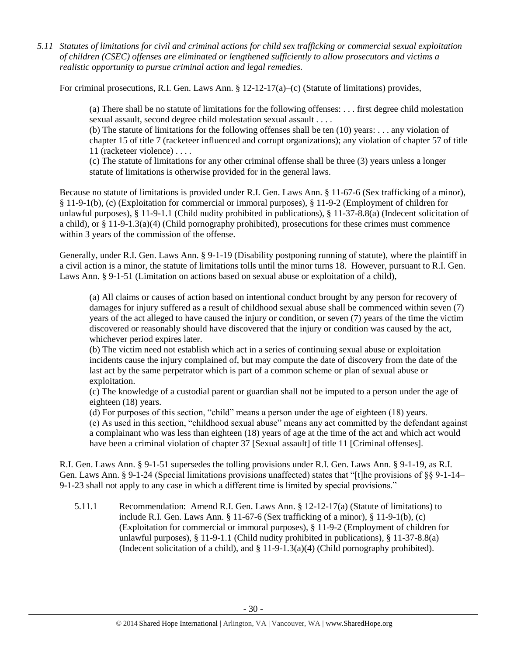*5.11 Statutes of limitations for civil and criminal actions for child sex trafficking or commercial sexual exploitation of children (CSEC) offenses are eliminated or lengthened sufficiently to allow prosecutors and victims a realistic opportunity to pursue criminal action and legal remedies.*

For criminal prosecutions, R.I. Gen. Laws Ann. § 12-12-17(a)–(c) (Statute of limitations) provides,

(a) There shall be no statute of limitations for the following offenses: . . . first degree child molestation sexual assault, second degree child molestation sexual assault . . . .

(b) The statute of limitations for the following offenses shall be ten (10) years: . . . any violation of chapter 15 of title 7 (racketeer influenced and corrupt organizations); any violation of chapter 57 of title 11 (racketeer violence) . . . .

(c) The statute of limitations for any other criminal offense shall be three (3) years unless a longer statute of limitations is otherwise provided for in the general laws.

Because no statute of limitations is provided under R.I. Gen. Laws Ann. § 11-67-6 (Sex trafficking of a minor), § 11-9-1(b), (c) (Exploitation for commercial or immoral purposes), § 11-9-2 (Employment of children for unlawful purposes), § 11-9-1.1 (Child nudity prohibited in publications), § 11-37-8.8(a) (Indecent solicitation of a child), or  $\S 11-9-1.3(a)(4)$  (Child pornography prohibited), prosecutions for these crimes must commence within 3 years of the commission of the offense.

Generally, under R.I. Gen. Laws Ann. § 9-1-19 (Disability postponing running of statute), where the plaintiff in a civil action is a minor, the statute of limitations tolls until the minor turns 18. However, pursuant to R.I. Gen. Laws Ann. § 9-1-51 (Limitation on actions based on sexual abuse or exploitation of a child),

(a) All claims or causes of action based on intentional conduct brought by any person for recovery of damages for injury suffered as a result of childhood sexual abuse shall be commenced within seven (7) years of the act alleged to have caused the injury or condition, or seven (7) years of the time the victim discovered or reasonably should have discovered that the injury or condition was caused by the act, whichever period expires later.

(b) The victim need not establish which act in a series of continuing sexual abuse or exploitation incidents cause the injury complained of, but may compute the date of discovery from the date of the last act by the same perpetrator which is part of a common scheme or plan of sexual abuse or exploitation.

(c) The knowledge of a custodial parent or guardian shall not be imputed to a person under the age of eighteen (18) years.

(d) For purposes of this section, "child" means a person under the age of eighteen (18) years. (e) As used in this section, "childhood sexual abuse" means any act committed by the defendant against a complainant who was less than eighteen (18) years of age at the time of the act and which act would have been a criminal violation of chapter 37 [Sexual assault] of title 11 [Criminal offenses].

R.I. Gen. Laws Ann. § 9-1-51 supersedes the tolling provisions under R.I. Gen. Laws Ann. § 9-1-19, as R.I. Gen. Laws Ann. § 9-1-24 (Special limitations provisions unaffected) states that "[t]he provisions of §§ 9-1-14– 9-1-23 shall not apply to any case in which a different time is limited by special provisions."

5.11.1 Recommendation: Amend R.I. Gen. Laws Ann. § 12-12-17(a) (Statute of limitations) to include R.I. Gen. Laws Ann. § 11-67-6 (Sex trafficking of a minor), § 11-9-1(b), (c) (Exploitation for commercial or immoral purposes), § 11-9-2 (Employment of children for unlawful purposes), § 11-9-1.1 (Child nudity prohibited in publications), § 11-37-8.8(a) (Indecent solicitation of a child), and  $\S 11-9-1.3(a)(4)$  (Child pornography prohibited).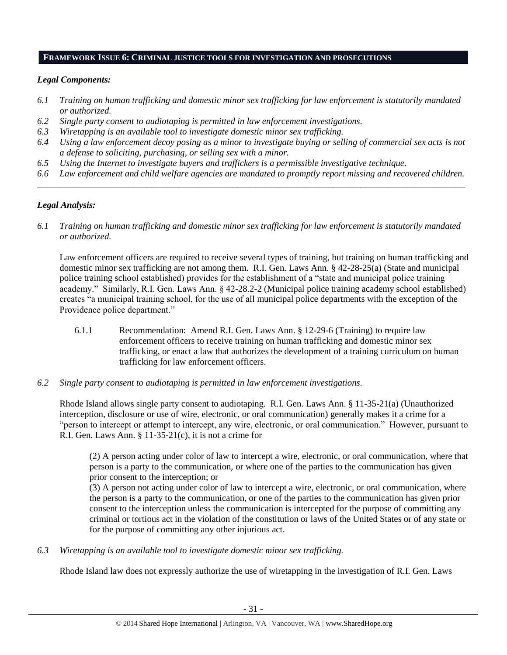#### **FRAMEWORK ISSUE 6: CRIMINAL JUSTICE TOOLS FOR INVESTIGATION AND PROSECUTIONS**

## *Legal Components:*

- *6.1 Training on human trafficking and domestic minor sex trafficking for law enforcement is statutorily mandated or authorized.*
- *6.2 Single party consent to audiotaping is permitted in law enforcement investigations.*
- *6.3 Wiretapping is an available tool to investigate domestic minor sex trafficking.*
- *6.4 Using a law enforcement decoy posing as a minor to investigate buying or selling of commercial sex acts is not a defense to soliciting, purchasing, or selling sex with a minor.*
- *6.5 Using the Internet to investigate buyers and traffickers is a permissible investigative technique.*
- *6.6 Law enforcement and child welfare agencies are mandated to promptly report missing and recovered children. \_\_\_\_\_\_\_\_\_\_\_\_\_\_\_\_\_\_\_\_\_\_\_\_\_\_\_\_\_\_\_\_\_\_\_\_\_\_\_\_\_\_\_\_\_\_\_\_\_\_\_\_\_\_\_\_\_\_\_\_\_\_\_\_\_\_\_\_\_\_\_\_\_\_\_\_\_\_\_\_\_\_\_\_\_\_\_\_\_\_\_\_\_\_*

# *Legal Analysis:*

*6.1 Training on human trafficking and domestic minor sex trafficking for law enforcement is statutorily mandated or authorized.*

Law enforcement officers are required to receive several types of training, but training on human trafficking and domestic minor sex trafficking are not among them. R.I. Gen. Laws Ann. § 42-28-25(a) (State and municipal police training school established) provides for the establishment of a "state and municipal police training academy." Similarly, R.I. Gen. Laws Ann. § 42-28.2-2 (Municipal police training academy school established) creates "a municipal training school, for the use of all municipal police departments with the exception of the Providence police department."

- 6.1.1 Recommendation: Amend R.I. Gen. Laws Ann. § 12-29-6 (Training) to require law enforcement officers to receive training on human trafficking and domestic minor sex trafficking, or enact a law that authorizes the development of a training curriculum on human trafficking for law enforcement officers.
- *6.2 Single party consent to audiotaping is permitted in law enforcement investigations.*

Rhode Island allows single party consent to audiotaping. R.I. Gen. Laws Ann. § 11-35-21(a) (Unauthorized interception, disclosure or use of wire, electronic, or oral communication) generally makes it a crime for a "person to intercept or attempt to intercept, any wire, electronic, or oral communication." However, pursuant to R.I. Gen. Laws Ann.  $\S 11-35-21(c)$ , it is not a crime for

(2) A person acting under color of law to intercept a wire, electronic, or oral communication, where that person is a party to the communication, or where one of the parties to the communication has given prior consent to the interception; or

(3) A person not acting under color of law to intercept a wire, electronic, or oral communication, where the person is a party to the communication, or one of the parties to the communication has given prior consent to the interception unless the communication is intercepted for the purpose of committing any criminal or tortious act in the violation of the constitution or laws of the United States or of any state or for the purpose of committing any other injurious act.

*6.3 Wiretapping is an available tool to investigate domestic minor sex trafficking.* 

Rhode Island law does not expressly authorize the use of wiretapping in the investigation of R.I. Gen. Laws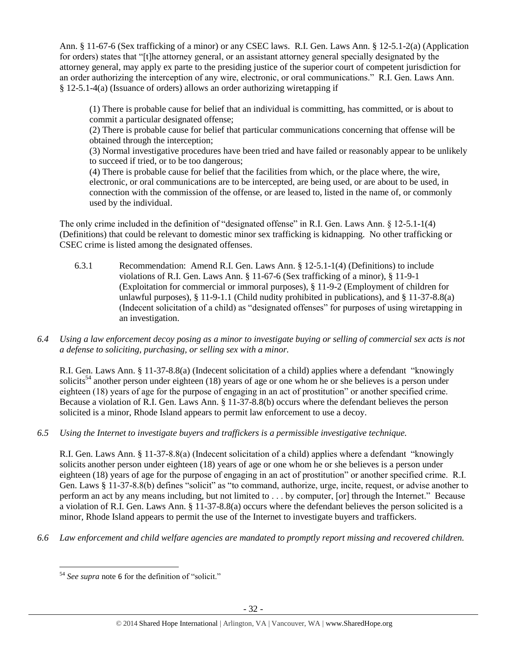Ann. § 11-67-6 (Sex trafficking of a minor) or any CSEC laws. R.I. Gen. Laws Ann. § 12-5.1-2(a) (Application for orders) states that "[t]he attorney general, or an assistant attorney general specially designated by the attorney general, may apply ex parte to the presiding justice of the superior court of competent jurisdiction for an order authorizing the interception of any wire, electronic, or oral communications." R.I. Gen. Laws Ann. § 12-5.1-4(a) (Issuance of orders) allows an order authorizing wiretapping if

(1) There is probable cause for belief that an individual is committing, has committed, or is about to commit a particular designated offense;

(2) There is probable cause for belief that particular communications concerning that offense will be obtained through the interception;

(3) Normal investigative procedures have been tried and have failed or reasonably appear to be unlikely to succeed if tried, or to be too dangerous;

(4) There is probable cause for belief that the facilities from which, or the place where, the wire, electronic, or oral communications are to be intercepted, are being used, or are about to be used, in connection with the commission of the offense, or are leased to, listed in the name of, or commonly used by the individual.

The only crime included in the definition of "designated offense" in R.I. Gen. Laws Ann. § 12-5.1-1(4) (Definitions) that could be relevant to domestic minor sex trafficking is kidnapping. No other trafficking or CSEC crime is listed among the designated offenses.

- 6.3.1 Recommendation: Amend R.I. Gen. Laws Ann. § 12-5.1-1(4) (Definitions) to include violations of R.I. Gen. Laws Ann. § 11-67-6 (Sex trafficking of a minor), § 11-9-1 (Exploitation for commercial or immoral purposes), § 11-9-2 (Employment of children for unlawful purposes),  $\S 11-9-1.1$  (Child nudity prohibited in publications), and  $\S 11-37-8.8(a)$ (Indecent solicitation of a child) as "designated offenses" for purposes of using wiretapping in an investigation.
- *6.4 Using a law enforcement decoy posing as a minor to investigate buying or selling of commercial sex acts is not a defense to soliciting, purchasing, or selling sex with a minor.*

R.I. Gen. Laws Ann. § 11-37-8.8(a) (Indecent solicitation of a child) applies where a defendant "knowingly solicits<sup>54</sup> another person under eighteen (18) years of age or one whom he or she believes is a person under eighteen (18) years of age for the purpose of engaging in an act of prostitution" or another specified crime. Because a violation of R.I. Gen. Laws Ann. § 11-37-8.8(b) occurs where the defendant believes the person solicited is a minor, Rhode Island appears to permit law enforcement to use a decoy.

*6.5 Using the Internet to investigate buyers and traffickers is a permissible investigative technique.*

R.I. Gen. Laws Ann. § 11-37-8.8(a) (Indecent solicitation of a child) applies where a defendant "knowingly solicits another person under eighteen (18) years of age or one whom he or she believes is a person under eighteen (18) years of age for the purpose of engaging in an act of prostitution" or another specified crime. R.I. Gen. Laws § 11-37-8.8(b) defines "solicit" as "to command, authorize, urge, incite, request, or advise another to perform an act by any means including, but not limited to . . . by computer, [or] through the Internet." Because a violation of R.I. Gen. Laws Ann. § 11-37-8.8(a) occurs where the defendant believes the person solicited is a minor, Rhode Island appears to permit the use of the Internet to investigate buyers and traffickers.

*6.6 Law enforcement and child welfare agencies are mandated to promptly report missing and recovered children.*

 $\overline{a}$ <sup>54</sup> *See supra* note [6](#page-2-1) for the definition of "solicit."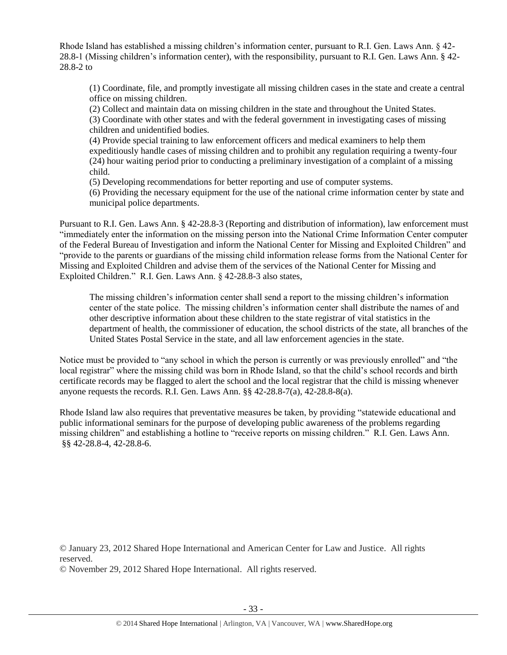Rhode Island has established a missing children's information center, pursuant to R.I. Gen. Laws Ann. § 42- 28.8-1 (Missing children's information center), with the responsibility, pursuant to R.I. Gen. Laws Ann. § 42- 28.8-2 to

(1) Coordinate, file, and promptly investigate all missing children cases in the state and create a central office on missing children.

(2) Collect and maintain data on missing children in the state and throughout the United States.

(3) Coordinate with other states and with the federal government in investigating cases of missing children and unidentified bodies.

(4) Provide special training to law enforcement officers and medical examiners to help them expeditiously handle cases of missing children and to prohibit any regulation requiring a twenty-four (24) hour waiting period prior to conducting a preliminary investigation of a complaint of a missing child.

(5) Developing recommendations for better reporting and use of computer systems.

(6) Providing the necessary equipment for the use of the national crime information center by state and municipal police departments.

Pursuant to R.I. Gen. Laws Ann. § 42-28.8-3 (Reporting and distribution of information), law enforcement must "immediately enter the information on the missing person into the National Crime Information Center computer of the Federal Bureau of Investigation and inform the National Center for Missing and Exploited Children" and "provide to the parents or guardians of the missing child information release forms from the National Center for Missing and Exploited Children and advise them of the services of the National Center for Missing and Exploited Children." R.I. Gen. Laws Ann. § 42-28.8-3 also states,

The missing children's information center shall send a report to the missing children's information center of the state police. The missing children's information center shall distribute the names of and other descriptive information about these children to the state registrar of vital statistics in the department of health, the commissioner of education, the school districts of the state, all branches of the United States Postal Service in the state, and all law enforcement agencies in the state.

Notice must be provided to "any school in which the person is currently or was previously enrolled" and "the local registrar" where the missing child was born in Rhode Island, so that the child's school records and birth certificate records may be flagged to alert the school and the local registrar that the child is missing whenever anyone requests the records. R.I. Gen. Laws Ann. §§ 42-28.8-7(a), 42-28.8-8(a).

Rhode Island law also requires that preventative measures be taken, by providing "statewide educational and public informational seminars for the purpose of developing public awareness of the problems regarding missing children" and establishing a hotline to "receive reports on missing children." R.I. Gen. Laws Ann. §§ 42-28.8-4, 42-28.8-6.

© January 23, 2012 Shared Hope International and American Center for Law and Justice. All rights reserved.

© November 29, 2012 Shared Hope International. All rights reserved.